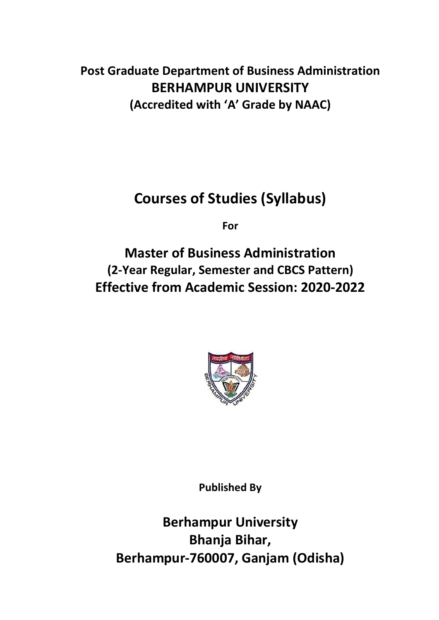# **Post Graduate Department of Business Administration BERHAMPUR UNIVERSITY (Accredited with 'A' Grade by NAAC)**

# **Courses of Studies (Syllabus)**

**For**

**Master of Business Administration (2-Year Regular, Semester and CBCS Pattern) Effective from Academic Session: 2020-2022**



**Published By**

**Berhampur University Bhanja Bihar, Berhampur-760007, Ganjam (Odisha)**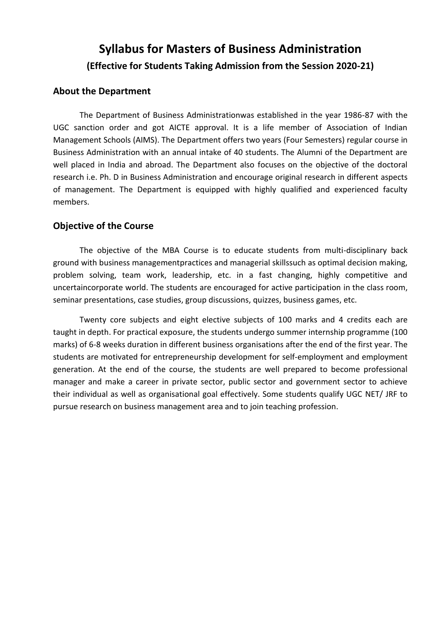# **Syllabus for Masters of Business Administration (Effective for Students Taking Admission from the Session 2020-21)**

# **About the Department**

The Department of Business Administrationwas established in the year 1986-87 with the UGC sanction order and got AICTE approval. It is a life member of Association of Indian Management Schools (AIMS). The Department offers two years (Four Semesters) regular course in Business Administration with an annual intake of 40 students. The Alumni of the Department are well placed in India and abroad. The Department also focuses on the objective of the doctoral research i.e. Ph. D in Business Administration and encourage original research in different aspects of management. The Department is equipped with highly qualified and experienced faculty members.

# **Objective of the Course**

The objective of the MBA Course is to educate students from multi-disciplinary back ground with business managementpractices and managerial skillssuch as optimal decision making, problem solving, team work, leadership, etc. in a fast changing, highly competitive and uncertaincorporate world. The students are encouraged for active participation in the class room, seminar presentations, case studies, group discussions, quizzes, business games, etc.

Twenty core subjects and eight elective subjects of 100 marks and 4 credits each are taught in depth. For practical exposure, the students undergo summer internship programme (100 marks) of 6-8 weeks duration in different business organisations after the end of the first year. The students are motivated for entrepreneurship development for self-employment and employment generation. At the end of the course, the students are well prepared to become professional manager and make a career in private sector, public sector and government sector to achieve their individual as well as organisational goal effectively. Some students qualify UGC NET/ JRF to pursue research on business management area and to join teaching profession.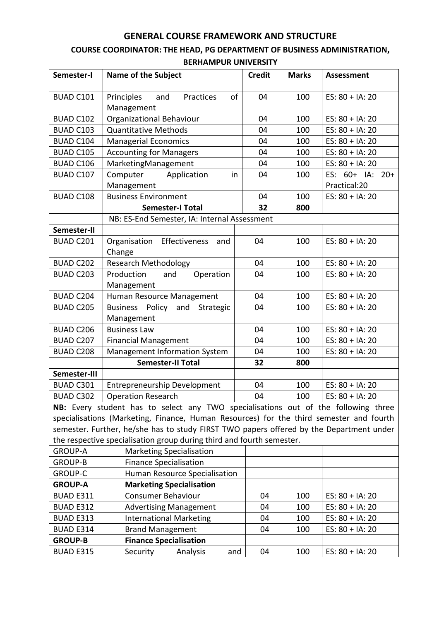# **GENERAL COURSE FRAMEWORK AND STRUCTURE**

# **COURSE COORDINATOR: THE HEAD, PG DEPARTMENT OF BUSINESS ADMINISTRATION,**

| Semester-I       |                                       | <b>Name of the Subject</b>                                                              | <b>Credit</b> | <b>Marks</b>       | <b>Assessment</b>  |  |  |
|------------------|---------------------------------------|-----------------------------------------------------------------------------------------|---------------|--------------------|--------------------|--|--|
|                  |                                       |                                                                                         |               |                    |                    |  |  |
| <b>BUAD C101</b> |                                       | Principles<br>Practices<br>οf<br>04<br>100<br>ES: $80 + IA$ : 20<br>and                 |               |                    |                    |  |  |
|                  |                                       | Management                                                                              |               |                    |                    |  |  |
| <b>BUAD C102</b> |                                       | Organizational Behaviour                                                                | 04            | 100                | ES: $80 + IA$ : 20 |  |  |
| BUAD C103        |                                       | <b>Quantitative Methods</b>                                                             | 04            | 100                | ES: $80 + IA$ : 20 |  |  |
| BUAD C104        |                                       | <b>Managerial Economics</b>                                                             | 04            | 100                | ES: $80 + IA$ : 20 |  |  |
| <b>BUAD C105</b> |                                       | <b>Accounting for Managers</b>                                                          | 04            | 100                | ES: $80 + IA$ : 20 |  |  |
| <b>BUAD C106</b> |                                       | MarketingManagement                                                                     | 04            | 100                | ES: $80 + IA$ : 20 |  |  |
| BUAD C107        |                                       | Application<br>Computer<br>in                                                           | 04            | 100                | ES: 60+ IA: 20+    |  |  |
|                  |                                       | Management                                                                              |               |                    | Practical:20       |  |  |
| <b>BUAD C108</b> |                                       | <b>Business Environment</b>                                                             | 04            | 100                | ES: $80 + IA$ : 20 |  |  |
|                  |                                       | <b>Semester-I Total</b>                                                                 | 32            | 800                |                    |  |  |
|                  |                                       | NB: ES-End Semester, IA: Internal Assessment                                            |               |                    |                    |  |  |
| Semester-II      |                                       |                                                                                         |               |                    |                    |  |  |
| BUAD C201        |                                       | Organisation Effectiveness<br>and                                                       | 04            | 100                | ES: $80 + IA$ : 20 |  |  |
|                  | Change                                |                                                                                         |               |                    |                    |  |  |
| <b>BUAD C202</b> |                                       | <b>Research Methodology</b>                                                             | 04            | 100                | ES: $80 + IA$ : 20 |  |  |
| BUAD C203        |                                       | Production<br>and<br>Operation                                                          | 04            | 100                | ES: $80 + IA$ : 20 |  |  |
|                  |                                       | Management                                                                              |               |                    |                    |  |  |
| <b>BUAD C204</b> |                                       | Human Resource Management                                                               | 04            | 100                | ES: $80 + IA$ : 20 |  |  |
| <b>BUAD C205</b> |                                       | Business Policy and<br>Strategic                                                        | 04            | 100                | ES: $80 + IA$ : 20 |  |  |
| Management       |                                       |                                                                                         |               |                    |                    |  |  |
| <b>BUAD C206</b> |                                       | <b>Business Law</b>                                                                     | 04<br>100     |                    | ES: $80 + IA$ : 20 |  |  |
| BUAD C207        |                                       | <b>Financial Management</b>                                                             | 04            | 100                | ES: $80 + IA$ : 20 |  |  |
| <b>BUAD C208</b> | Management Information System         |                                                                                         | 04            | 100                | ES: $80 + IA$ : 20 |  |  |
|                  | <b>Semester-II Total</b><br>32<br>800 |                                                                                         |               |                    |                    |  |  |
| Semester-III     |                                       |                                                                                         |               |                    |                    |  |  |
| BUAD C301        |                                       | Entrepreneurship Development<br>04<br>100                                               |               | ES: $80 + IA$ : 20 |                    |  |  |
| <b>BUAD C302</b> |                                       | <b>Operation Research</b>                                                               | 04            | 100                | ES: 80 + IA: 20    |  |  |
|                  |                                       | NB: Every student has to select any TWO specialisations out of the following three      |               |                    |                    |  |  |
|                  |                                       | specialisations (Marketing, Finance, Human Resources) for the third semester and fourth |               |                    |                    |  |  |
|                  |                                       | semester. Further, he/she has to study FIRST TWO papers offered by the Department under |               |                    |                    |  |  |
|                  |                                       | the respective specialisation group during third and fourth semester.                   |               |                    |                    |  |  |
| <b>GROUP-A</b>   |                                       | <b>Marketing Specialisation</b>                                                         |               |                    |                    |  |  |
| <b>GROUP-B</b>   |                                       | <b>Finance Specialisation</b>                                                           |               |                    |                    |  |  |
| <b>GROUP-C</b>   |                                       | Human Resource Specialisation                                                           |               |                    |                    |  |  |
| <b>GROUP-A</b>   |                                       | <b>Marketing Specialisation</b>                                                         |               |                    |                    |  |  |
| BUAD E311        |                                       | <b>Consumer Behaviour</b>                                                               | 04            | 100                | ES: $80 + IA$ : 20 |  |  |
| BUAD E312        |                                       | <b>Advertising Management</b>                                                           | 04            | 100                | ES: $80 + IA$ : 20 |  |  |
| BUAD E313        |                                       | <b>International Marketing</b>                                                          | 04            | 100                | ES: $80 + IA$ : 20 |  |  |
| BUAD E314        |                                       | <b>Brand Management</b>                                                                 | 04            | 100                | ES: $80 + IA$ : 20 |  |  |
| <b>GROUP-B</b>   |                                       | <b>Finance Specialisation</b>                                                           |               |                    |                    |  |  |
| BUAD E315        |                                       | Security<br>Analysis<br>and                                                             | 04            | 100                | ES: $80 + IA$ : 20 |  |  |

**BERHAMPUR UNIVERSITY**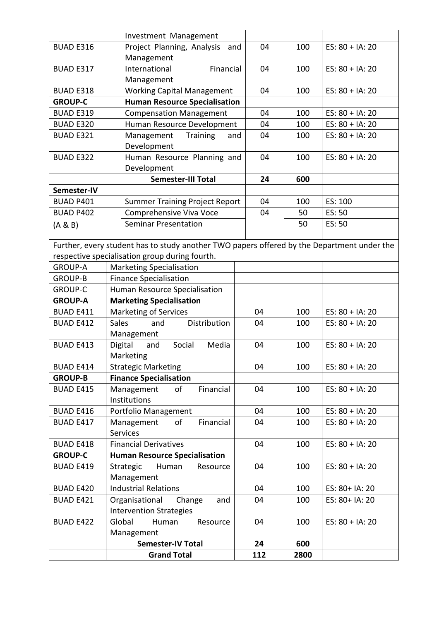|                  | Investment Management                                                                      |     |      |                    |
|------------------|--------------------------------------------------------------------------------------------|-----|------|--------------------|
| <b>BUAD E316</b> | Project Planning, Analysis<br>and                                                          | 04  | 100  | ES: $80 + IA$ : 20 |
|                  | Management                                                                                 |     |      |                    |
| <b>BUAD E317</b> | International<br>Financial                                                                 | 04  | 100  | ES: $80 + IA$ : 20 |
|                  | Management                                                                                 |     |      |                    |
| <b>BUAD E318</b> | <b>Working Capital Management</b>                                                          | 04  | 100  | ES: $80 + IA$ : 20 |
| <b>GROUP-C</b>   | <b>Human Resource Specialisation</b>                                                       |     |      |                    |
| <b>BUAD E319</b> | <b>Compensation Management</b>                                                             | 04  | 100  | ES: $80 + IA$ : 20 |
| <b>BUAD E320</b> | Human Resource Development                                                                 | 04  | 100  | ES: $80 + IA$ : 20 |
| BUAD E321        | Management<br>Training<br>and                                                              | 04  | 100  | ES: $80 + IA$ : 20 |
|                  | Development                                                                                |     |      |                    |
| <b>BUAD E322</b> | Human Resource Planning and                                                                | 04  | 100  | ES: $80 + IA$ : 20 |
|                  | Development                                                                                |     |      |                    |
|                  | <b>Semester-III Total</b>                                                                  | 24  | 600  |                    |
| Semester-IV      |                                                                                            |     |      |                    |
| <b>BUAD P401</b> | <b>Summer Training Project Report</b>                                                      | 04  | 100  | ES: 100            |
| <b>BUAD P402</b> | Comprehensive Viva Voce                                                                    | 04  | 50   | ES: 50             |
| (A & B)          | <b>Seminar Presentation</b>                                                                |     | 50   | ES: 50             |
|                  |                                                                                            |     |      |                    |
|                  | Further, every student has to study another TWO papers offered by the Department under the |     |      |                    |
|                  | respective specialisation group during fourth.                                             |     |      |                    |
| <b>GROUP-A</b>   | <b>Marketing Specialisation</b>                                                            |     |      |                    |
| <b>GROUP-B</b>   | <b>Finance Specialisation</b>                                                              |     |      |                    |
| <b>GROUP-C</b>   | Human Resource Specialisation                                                              |     |      |                    |
| <b>GROUP-A</b>   | <b>Marketing Specialisation</b>                                                            |     |      |                    |
| <b>BUAD E411</b> | Marketing of Services                                                                      | 04  | 100  | ES: $80 + IA$ : 20 |
| <b>BUAD E412</b> | <b>Sales</b><br>and<br>Distribution                                                        | 04  | 100  | ES: $80 + IA$ : 20 |
|                  | Management                                                                                 |     |      |                    |
| <b>BUAD E413</b> | Digital<br>and<br>Social<br>Media                                                          | 04  | 100  | ES: $80 + IA$ : 20 |
|                  | Marketing                                                                                  |     |      |                    |
| <b>BUAD E414</b> | <b>Strategic Marketing</b>                                                                 | 04  | 100  | ES: $80 + IA$ : 20 |
| <b>GROUP-B</b>   | <b>Finance Specialisation</b>                                                              |     |      |                    |
| <b>BUAD E415</b> | of<br>Financial<br>Management                                                              | 04  | 100  | ES: $80 + IA$ : 20 |
|                  | Institutions                                                                               |     |      |                    |
| <b>BUAD E416</b> | Portfolio Management                                                                       | 04  | 100  | ES: $80 + IA$ : 20 |
| <b>BUAD E417</b> | of<br>Financial<br>Management                                                              | 04  | 100  | ES: $80 + IA$ : 20 |
|                  | <b>Services</b>                                                                            |     |      |                    |
| <b>BUAD E418</b> | <b>Financial Derivatives</b>                                                               | 04  | 100  | ES: $80 + IA$ : 20 |
| <b>GROUP-C</b>   | <b>Human Resource Specialisation</b>                                                       |     |      |                    |
| <b>BUAD E419</b> | Strategic<br>Human<br>Resource                                                             | 04  | 100  | ES: $80 + IA$ : 20 |
|                  | Management                                                                                 |     |      |                    |
| <b>BUAD E420</b> | <b>Industrial Relations</b>                                                                | 04  | 100  | ES: 80+ IA: 20     |
| <b>BUAD E421</b> | Organisational<br>Change<br>and                                                            | 04  | 100  | ES: 80+ IA: 20     |
|                  | <b>Intervention Strategies</b>                                                             |     |      |                    |
| <b>BUAD E422</b> | Global<br>Human<br>Resource                                                                | 04  | 100  | ES: $80 + IA$ : 20 |
|                  | Management                                                                                 |     |      |                    |
|                  | <b>Semester-IV Total</b><br><b>Grand Total</b>                                             | 24  | 600  |                    |
|                  |                                                                                            | 112 | 2800 |                    |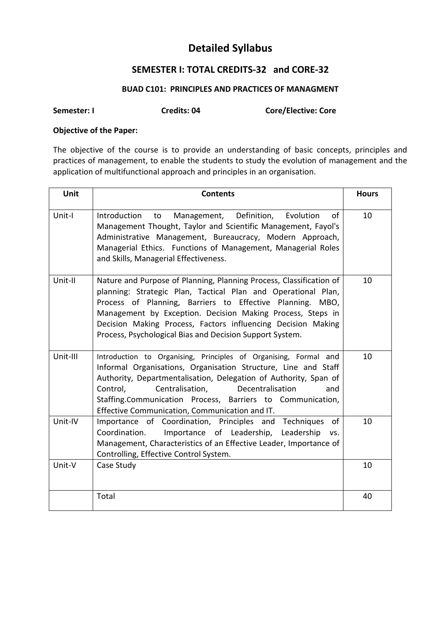# **Detailed Syllabus**

# **SEMESTER I: TOTAL CREDITS-32 and CORE-32**

# **BUAD C101: PRINCIPLES AND PRACTICES OF MANAGMENT**

**Semester: I Credits: 04 Core/Elective: Core**

# **Objective of the Paper:**

The objective of the course is to provide an understanding of basic concepts, principles and practices of management, to enable the students to study the evolution of management and the application of multifunctional approach and principles in an organisation.

| Unit     | <b>Contents</b>                                                                                                                                                                                                                                                                                                                                                                             | <b>Hours</b> |
|----------|---------------------------------------------------------------------------------------------------------------------------------------------------------------------------------------------------------------------------------------------------------------------------------------------------------------------------------------------------------------------------------------------|--------------|
| Unit-I   | Management, Definition,<br>Evolution<br>of<br>Introduction<br>to<br>Management Thought, Taylor and Scientific Management, Fayol's<br>Administrative Management, Bureaucracy, Modern Approach,<br>Managerial Ethics. Functions of Management, Managerial Roles<br>and Skills, Managerial Effectiveness.                                                                                      | 10           |
| Unit-II  | Nature and Purpose of Planning, Planning Process, Classification of<br>planning: Strategic Plan, Tactical Plan and Operational Plan,<br>Process of Planning, Barriers to Effective Planning. MBO,<br>Management by Exception. Decision Making Process, Steps in<br>Decision Making Process, Factors influencing Decision Making<br>Process, Psychological Bias and Decision Support System. | 10           |
| Unit-III | Introduction to Organising, Principles of Organising, Formal and<br>Informal Organisations, Organisation Structure, Line and Staff<br>Authority, Departmentalisation, Delegation of Authority, Span of<br>Control,<br>Centralisation,<br>Decentralisation<br>and<br>Staffing.Communication Process, Barriers to Communication,<br>Effective Communication, Communication and IT.            | 10           |
| Unit-IV  | Importance of Coordination, Principles and Techniques<br><b>of</b><br>Importance of Leadership, Leadership<br>Coordination.<br>VS.<br>Management, Characteristics of an Effective Leader, Importance of<br>Controlling, Effective Control System.                                                                                                                                           | 10           |
| Unit-V   | Case Study                                                                                                                                                                                                                                                                                                                                                                                  | 10           |
|          | Total                                                                                                                                                                                                                                                                                                                                                                                       | 40           |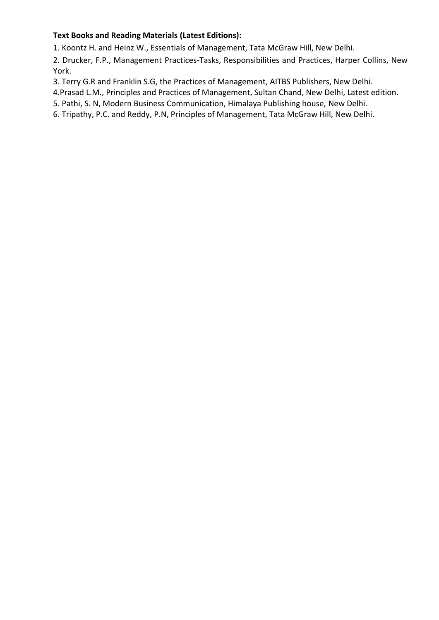# **Text Books and Reading Materials (Latest Editions):**

1. Koontz H. and Heinz W., Essentials of Management, Tata McGraw Hill, New Delhi.

2. Drucker, F.P., Management Practices-Tasks, Responsibilities and Practices, Harper Collins, New York.

3. Terry G.R and Franklin S.G, the Practices of Management, AITBS Publishers, New Delhi.

4.Prasad L.M., Principles and Practices of Management, Sultan Chand, New Delhi, Latest edition.

5. Pathi, S. N, Modern Business Communication, Himalaya Publishing house, New Delhi.

6. Tripathy, P.C. and Reddy, P.N, Principles of Management, Tata McGraw Hill, New Delhi.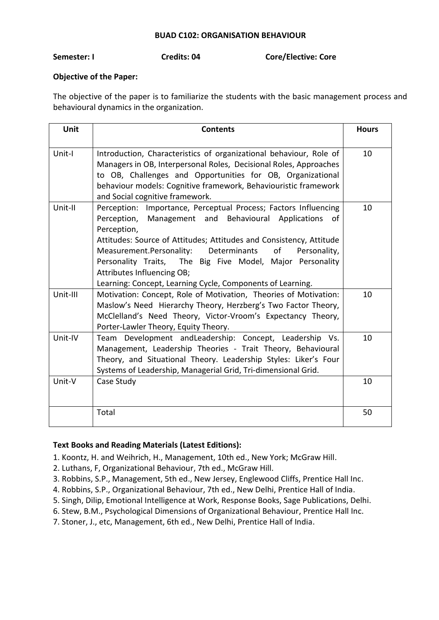### **BUAD C102: ORGANISATION BEHAVIOUR**

**Semester: I Credits: 04 Core/Elective: Core**

# **Objective of the Paper:**

The objective of the paper is to familiarize the students with the basic management process and behavioural dynamics in the organization.

| <b>Unit</b> | <b>Contents</b>                                                                                                                                                                                                                                                                                                                                                                                                                                  | <b>Hours</b> |
|-------------|--------------------------------------------------------------------------------------------------------------------------------------------------------------------------------------------------------------------------------------------------------------------------------------------------------------------------------------------------------------------------------------------------------------------------------------------------|--------------|
| Unit-I      | Introduction, Characteristics of organizational behaviour, Role of<br>Managers in OB, Interpersonal Roles, Decisional Roles, Approaches<br>to OB, Challenges and Opportunities for OB, Organizational<br>behaviour models: Cognitive framework, Behaviouristic framework<br>and Social cognitive framework.                                                                                                                                      | 10           |
| Unit-II     | Perception: Importance, Perceptual Process; Factors Influencing<br>Management and Behavioural Applications<br>Perception,<br>οf<br>Perception,<br>Attitudes: Source of Attitudes; Attitudes and Consistency, Attitude<br>of<br>Measurement.Personality:<br>Determinants<br>Personality,<br>Personality Traits, The Big Five Model, Major Personality<br>Attributes Influencing OB;<br>Learning: Concept, Learning Cycle, Components of Learning. | 10           |
| Unit-III    | Motivation: Concept, Role of Motivation, Theories of Motivation:<br>Maslow's Need Hierarchy Theory, Herzberg's Two Factor Theory,<br>McClelland's Need Theory, Victor-Vroom's Expectancy Theory,<br>Porter-Lawler Theory, Equity Theory.                                                                                                                                                                                                         | 10           |
| Unit-IV     | Team Development and Leadership: Concept, Leadership Vs.<br>Management, Leadership Theories - Trait Theory, Behavioural<br>Theory, and Situational Theory. Leadership Styles: Liker's Four<br>Systems of Leadership, Managerial Grid, Tri-dimensional Grid.                                                                                                                                                                                      | 10           |
| Unit-V      | Case Study                                                                                                                                                                                                                                                                                                                                                                                                                                       | 10           |
|             | Total                                                                                                                                                                                                                                                                                                                                                                                                                                            | 50           |

- 1. Koontz, H. and Weihrich, H., Management, 10th ed., New York; McGraw Hill.
- 2. Luthans, F, Organizational Behaviour, 7th ed., McGraw Hill.
- 3. Robbins, S.P., Management, 5th ed., New Jersey, Englewood Cliffs, Prentice Hall Inc.
- 4. Robbins, S.P., Organizational Behaviour, 7th ed., New Delhi, Prentice Hall of India.
- 5. Singh, Dilip, Emotional Intelligence at Work, Response Books, Sage Publications, Delhi.
- 6. Stew, B.M., Psychological Dimensions of Organizational Behaviour, Prentice Hall Inc.
- 7. Stoner, J., etc, Management, 6th ed., New Delhi, Prentice Hall of India.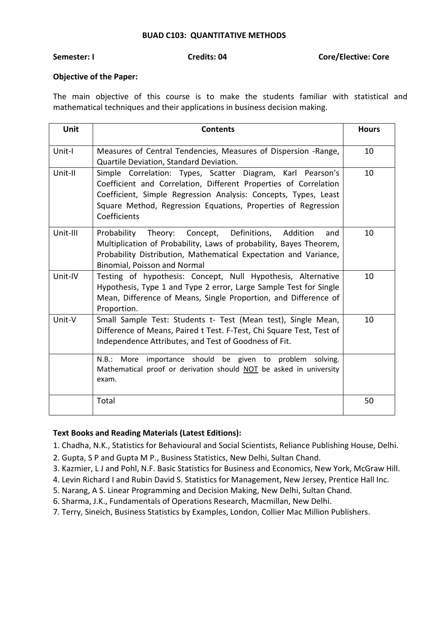#### **BUAD C103: QUANTITATIVE METHODS**

**Semester: I Credits: 04 Core/Elective: Core**

### **Objective of the Paper:**

The main objective of this course is to make the students familiar with statistical and mathematical techniques and their applications in business decision making.

| Unit     | <b>Contents</b>                                                                                                                                                                                                                                                                    | <b>Hours</b> |
|----------|------------------------------------------------------------------------------------------------------------------------------------------------------------------------------------------------------------------------------------------------------------------------------------|--------------|
| Unit-I   | Measures of Central Tendencies, Measures of Dispersion -Range,<br>Quartile Deviation, Standard Deviation.                                                                                                                                                                          | 10           |
| Unit-II  | Simple Correlation: Types, Scatter Diagram, Karl Pearson's<br>Coefficient and Correlation, Different Properties of Correlation<br>Coefficient, Simple Regression Analysis: Concepts, Types, Least<br>Square Method, Regression Equations, Properties of Regression<br>Coefficients | 10           |
| Unit-III | Probability Theory: Concept, Definitions,<br>Addition<br>and<br>Multiplication of Probability, Laws of probability, Bayes Theorem,<br>Probability Distribution, Mathematical Expectation and Variance,<br><b>Binomial, Poisson and Normal</b>                                      | 10           |
| Unit-IV  | Testing of hypothesis: Concept, Null Hypothesis, Alternative<br>Hypothesis, Type 1 and Type 2 error, Large Sample Test for Single<br>Mean, Difference of Means, Single Proportion, and Difference of<br>Proportion.                                                                | 10           |
| Unit-V   | Small Sample Test: Students t- Test (Mean test), Single Mean,<br>Difference of Means, Paired t Test. F-Test, Chi Square Test, Test of<br>Independence Attributes, and Test of Goodness of Fit.                                                                                     | 10           |
|          | importance should be given to problem<br>N.B.:<br>More<br>solving.<br>Mathematical proof or derivation should NOT be asked in university<br>exam.                                                                                                                                  |              |
|          | Total                                                                                                                                                                                                                                                                              | 50           |

- 1. Chadha, N.K., Statistics for Behavioural and Social Scientists, Reliance Publishing House, Delhi.
- 2. Gupta, S P and Gupta M P., Business Statistics, New Delhi, Sultan Chand.
- 3. Kazmier, L J and Pohl, N.F. Basic Statistics for Business and Economics, New York, McGraw Hill.
- 4. Levin Richard I and Rubin David S. Statistics for Management, New Jersey, Prentice Hall Inc.
- 5. Narang, A S. Linear Programming and Decision Making, New Delhi, Sultan Chand.
- 6. Sharma, J.K., Fundamentals of Operations Research, Macmillan, New Delhi.
- 7. Terry, Sineich, Business Statistics by Examples, London, Collier Mac Million Publishers.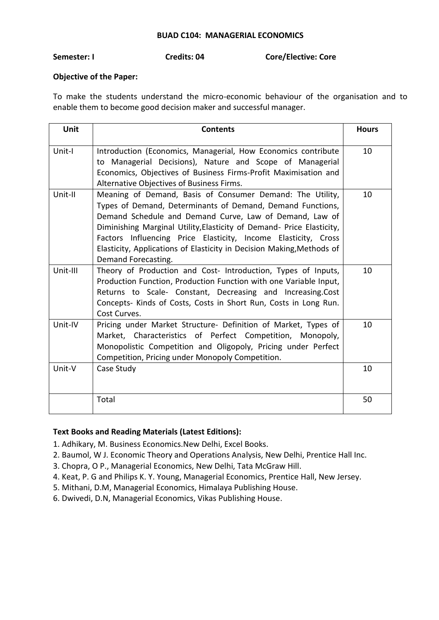#### **BUAD C104: MANAGERIAL ECONOMICS**

# **Semester: I Credits: 04 Core/Elective: Core**

### **Objective of the Paper:**

To make the students understand the micro-economic behaviour of the organisation and to enable them to become good decision maker and successful manager.

| <b>Unit</b> | <b>Contents</b>                                                                                                                                                                                                                                                                                                                                                                                                               | <b>Hours</b> |
|-------------|-------------------------------------------------------------------------------------------------------------------------------------------------------------------------------------------------------------------------------------------------------------------------------------------------------------------------------------------------------------------------------------------------------------------------------|--------------|
| Unit-I      | Introduction (Economics, Managerial, How Economics contribute<br>to Managerial Decisions), Nature and Scope of Managerial<br>Economics, Objectives of Business Firms-Profit Maximisation and<br>Alternative Objectives of Business Firms.                                                                                                                                                                                     | 10           |
| Unit-II     | Meaning of Demand, Basis of Consumer Demand: The Utility,<br>Types of Demand, Determinants of Demand, Demand Functions,<br>Demand Schedule and Demand Curve, Law of Demand, Law of<br>Diminishing Marginal Utility, Elasticity of Demand- Price Elasticity,<br>Factors Influencing Price Elasticity, Income Elasticity, Cross<br>Elasticity, Applications of Elasticity in Decision Making, Methods of<br>Demand Forecasting. | 10           |
| Unit-III    | Theory of Production and Cost- Introduction, Types of Inputs,<br>Production Function, Production Function with one Variable Input,<br>Returns to Scale- Constant, Decreasing and Increasing.Cost<br>Concepts- Kinds of Costs, Costs in Short Run, Costs in Long Run.<br>Cost Curves.                                                                                                                                          | 10           |
| Unit-IV     | Pricing under Market Structure- Definition of Market, Types of<br>Market, Characteristics of Perfect Competition, Monopoly,<br>Monopolistic Competition and Oligopoly, Pricing under Perfect<br>Competition, Pricing under Monopoly Competition.                                                                                                                                                                              | 10           |
| Unit-V      | Case Study                                                                                                                                                                                                                                                                                                                                                                                                                    | 10           |
|             | Total                                                                                                                                                                                                                                                                                                                                                                                                                         | 50           |

- 1. Adhikary, M. Business Economics.New Delhi, Excel Books.
- 2. Baumol, W J. Economic Theory and Operations Analysis, New Delhi, Prentice Hall Inc.
- 3. Chopra, O P., Managerial Economics, New Delhi, Tata McGraw Hill.
- 4. Keat, P. G and Philips K. Y. Young, Managerial Economics, Prentice Hall, New Jersey.
- 5. Mithani, D.M, Managerial Economics, Himalaya Publishing House.
- 6. Dwivedi, D.N, Managerial Economics, Vikas Publishing House.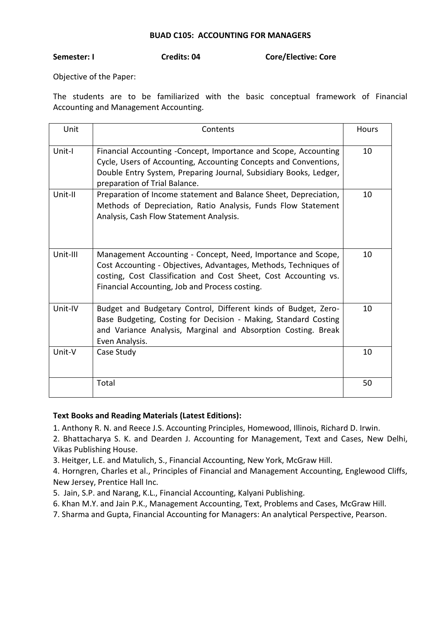### **BUAD C105: ACCOUNTING FOR MANAGERS**

### **Semester: I Credits: 04 Core/Elective: Core**

Objective of the Paper:

The students are to be familiarized with the basic conceptual framework of Financial Accounting and Management Accounting.

| Unit     | Contents                                                                                                                                                                                                                                               | Hours |
|----------|--------------------------------------------------------------------------------------------------------------------------------------------------------------------------------------------------------------------------------------------------------|-------|
| Unit-I   | Financial Accounting - Concept, Importance and Scope, Accounting<br>Cycle, Users of Accounting, Accounting Concepts and Conventions,<br>Double Entry System, Preparing Journal, Subsidiary Books, Ledger,<br>preparation of Trial Balance.             | 10    |
| Unit-II  | Preparation of Income statement and Balance Sheet, Depreciation,<br>Methods of Depreciation, Ratio Analysis, Funds Flow Statement<br>Analysis, Cash Flow Statement Analysis.                                                                           | 10    |
| Unit-III | Management Accounting - Concept, Need, Importance and Scope,<br>Cost Accounting - Objectives, Advantages, Methods, Techniques of<br>costing, Cost Classification and Cost Sheet, Cost Accounting vs.<br>Financial Accounting, Job and Process costing. | 10    |
| Unit-IV  | Budget and Budgetary Control, Different kinds of Budget, Zero-<br>Base Budgeting, Costing for Decision - Making, Standard Costing<br>and Variance Analysis, Marginal and Absorption Costing. Break<br>Even Analysis.                                   | 10    |
| Unit-V   | Case Study                                                                                                                                                                                                                                             | 10    |
|          | Total                                                                                                                                                                                                                                                  | 50    |

# **Text Books and Reading Materials (Latest Editions):**

1. Anthony R. N. and Reece J.S. Accounting Principles, Homewood, Illinois, Richard D. Irwin.

2. Bhattacharya S. K. and Dearden J. Accounting for Management, Text and Cases, New Delhi, Vikas Publishing House.

3. Heitger, L.E. and Matulich, S., Financial Accounting, New York, McGraw Hill.

4. Horngren, Charles et al., Principles of Financial and Management Accounting, Englewood Cliffs, New Jersey, Prentice Hall Inc.

5. Jain, S.P. and Narang, K.L., Financial Accounting, Kalyani Publishing.

6. Khan M.Y. and Jain P.K., Management Accounting, Text, Problems and Cases, McGraw Hill.

7. Sharma and Gupta, Financial Accounting for Managers: An analytical Perspective, Pearson.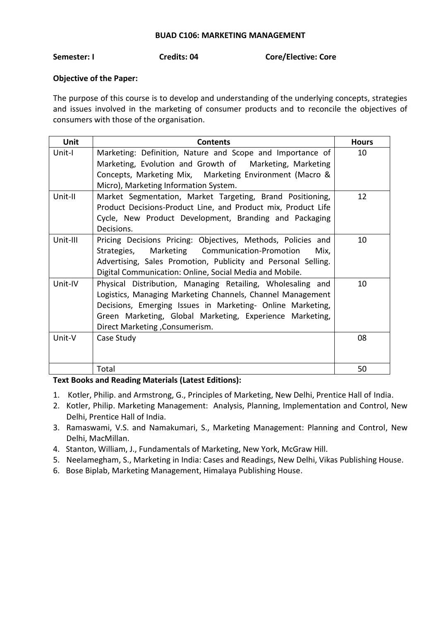#### **BUAD C106: MARKETING MANAGEMENT**

# **Semester: I Credits: 04 Core/Elective: Core**

# **Objective of the Paper:**

The purpose of this course is to develop and understanding of the underlying concepts, strategies and issues involved in the marketing of consumer products and to reconcile the objectives of consumers with those of the organisation.

| <b>Unit</b> | <b>Contents</b>                                                                                                                                                                                                                                                                       | <b>Hours</b> |
|-------------|---------------------------------------------------------------------------------------------------------------------------------------------------------------------------------------------------------------------------------------------------------------------------------------|--------------|
| Unit-I      | Marketing: Definition, Nature and Scope and Importance of<br>Marketing, Evolution and Growth of Marketing, Marketing<br>Concepts, Marketing Mix, Marketing Environment (Macro &<br>Micro), Marketing Information System.                                                              | 10           |
| Unit-II     | Market Segmentation, Market Targeting, Brand Positioning,<br>Product Decisions-Product Line, and Product mix, Product Life<br>Cycle, New Product Development, Branding and Packaging<br>Decisions.                                                                                    | 12           |
| Unit-III    | Pricing Decisions Pricing: Objectives, Methods, Policies and<br>Marketing Communication-Promotion<br>Strategies,<br>Mix,<br>Advertising, Sales Promotion, Publicity and Personal Selling.<br>Digital Communication: Online, Social Media and Mobile.                                  | 10           |
| Unit-IV     | Physical Distribution, Managing Retailing, Wholesaling and<br>Logistics, Managing Marketing Channels, Channel Management<br>Decisions, Emerging Issues in Marketing- Online Marketing,<br>Green Marketing, Global Marketing, Experience Marketing,<br>Direct Marketing , Consumerism. | 10           |
| Unit-V      | Case Study                                                                                                                                                                                                                                                                            | 08           |
|             | Total                                                                                                                                                                                                                                                                                 | 50           |

- 1. Kotler, Philip. and Armstrong, G., Principles of Marketing, New Delhi, Prentice Hall of India.
- 2. Kotler, Philip. Marketing Management: Analysis, Planning, Implementation and Control, New Delhi, Prentice Hall of India.
- 3. Ramaswami, V.S. and Namakumari, S., Marketing Management: Planning and Control, New Delhi, MacMillan.
- 4. Stanton, William, J., Fundamentals of Marketing, New York, McGraw Hill.
- 5. Neelamegham, S., Marketing in India: Cases and Readings, New Delhi, Vikas Publishing House.
- 6. Bose Biplab, Marketing Management, Himalaya Publishing House.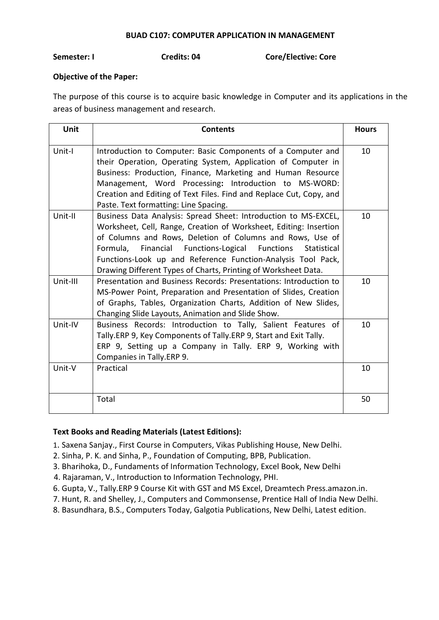#### **BUAD C107: COMPUTER APPLICATION IN MANAGEMENT**

**Semester: I Credits: 04 Core/Elective: Core**

## **Objective of the Paper:**

The purpose of this course is to acquire basic knowledge in Computer and its applications in the areas of business management and research.

| Unit     | <b>Contents</b>                                                                                                                                                                                                                                                                                                                                                                                      | <b>Hours</b> |
|----------|------------------------------------------------------------------------------------------------------------------------------------------------------------------------------------------------------------------------------------------------------------------------------------------------------------------------------------------------------------------------------------------------------|--------------|
| Unit-I   | Introduction to Computer: Basic Components of a Computer and<br>their Operation, Operating System, Application of Computer in<br>Business: Production, Finance, Marketing and Human Resource<br>Management, Word Processing: Introduction to MS-WORD:<br>Creation and Editing of Text Files. Find and Replace Cut, Copy, and<br>Paste. Text formatting: Line Spacing.                                | 10           |
| Unit-II  | Business Data Analysis: Spread Sheet: Introduction to MS-EXCEL,<br>Worksheet, Cell, Range, Creation of Worksheet, Editing: Insertion<br>of Columns and Rows, Deletion of Columns and Rows, Use of<br>Formula, Financial Functions-Logical Functions<br>Statistical<br>Functions-Look up and Reference Function-Analysis Tool Pack,<br>Drawing Different Types of Charts, Printing of Worksheet Data. | 10           |
| Unit-III | Presentation and Business Records: Presentations: Introduction to<br>MS-Power Point, Preparation and Presentation of Slides, Creation<br>of Graphs, Tables, Organization Charts, Addition of New Slides,<br>Changing Slide Layouts, Animation and Slide Show.                                                                                                                                        | 10           |
| Unit-IV  | Business Records: Introduction to Tally, Salient Features of<br>Tally.ERP 9, Key Components of Tally.ERP 9, Start and Exit Tally.<br>ERP 9, Setting up a Company in Tally. ERP 9, Working with<br>Companies in Tally.ERP 9.                                                                                                                                                                          | 10           |
| Unit-V   | Practical                                                                                                                                                                                                                                                                                                                                                                                            | 10           |
|          | Total                                                                                                                                                                                                                                                                                                                                                                                                | 50           |

- 1. Saxena Sanjay., First Course in Computers, Vikas Publishing House, New Delhi.
- 2. Sinha, P. K. and Sinha, P., Foundation of Computing, BPB, Publication.
- 3. Bharihoka, D., Fundaments of Information Technology, Excel Book, New Delhi
- 4. Rajaraman, V., Introduction to Information Technology, PHI.
- 6. Gupta, V., Tally.ERP 9 Course Kit with GST and MS Excel, Dreamtech Press.amazon.in.
- 7. Hunt, R. and Shelley, J., Computers and Commonsense, Prentice Hall of India New Delhi.
- 8. Basundhara, B.S., Computers Today, Galgotia Publications, New Delhi, Latest edition.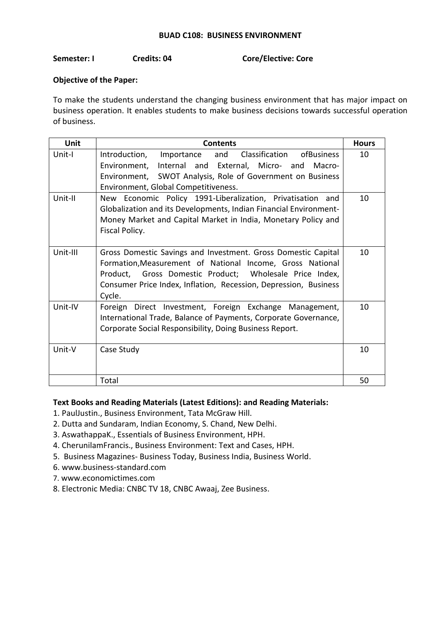## **BUAD C108: BUSINESS ENVIRONMENT**

## **Semester: I Credits: 04 Core/Elective: Core**

# **Objective of the Paper:**

To make the students understand the changing business environment that has major impact on business operation. It enables students to make business decisions towards successful operation of business.

| <b>Unit</b> | <b>Contents</b>                                                                                                                                                                                                                                                     | <b>Hours</b> |
|-------------|---------------------------------------------------------------------------------------------------------------------------------------------------------------------------------------------------------------------------------------------------------------------|--------------|
| Unit-I      | Introduction,<br>Classification<br>ofBusiness<br>and<br>Importance<br>Environment, Internal and External, Micro- and<br>Macro-<br>Environment, SWOT Analysis, Role of Government on Business<br>Environment, Global Competitiveness.                                | 10           |
| Unit-II     | New Economic Policy 1991-Liberalization, Privatisation and<br>Globalization and its Developments, Indian Financial Environment-<br>Money Market and Capital Market in India, Monetary Policy and<br>Fiscal Policy.                                                  | 10           |
| Unit-III    | Gross Domestic Savings and Investment. Gross Domestic Capital<br>Formation, Measurement of National Income, Gross National<br>Product, Gross Domestic Product; Wholesale Price Index,<br>Consumer Price Index, Inflation, Recession, Depression, Business<br>Cycle. | 10           |
| Unit-IV     | Foreign Direct Investment, Foreign Exchange Management,<br>International Trade, Balance of Payments, Corporate Governance,<br>Corporate Social Responsibility, Doing Business Report.                                                                               | 10           |
| Unit-V      | Case Study                                                                                                                                                                                                                                                          | 10           |
|             | Total                                                                                                                                                                                                                                                               | 50           |

#### **Text Books and Reading Materials (Latest Editions): and Reading Materials:**

- 1. PaulJustin., Business Environment, Tata McGraw Hill.
- 2. Dutta and Sundaram, Indian Economy, S. Chand, New Delhi.
- 3. AswathappaK., Essentials of Business Environment, HPH.
- 4. CherunilamFrancis., Business Environment: Text and Cases, HPH.
- 5. Business Magazines- Business Today, Business India, Business World.
- 6. [www.business-standard.com](http://www.business-standard.com/)
- 7. [www.economictimes.com](http://www.economictimes.com/)
- 8. Electronic Media: CNBC TV 18, CNBC Awaaj, Zee Business.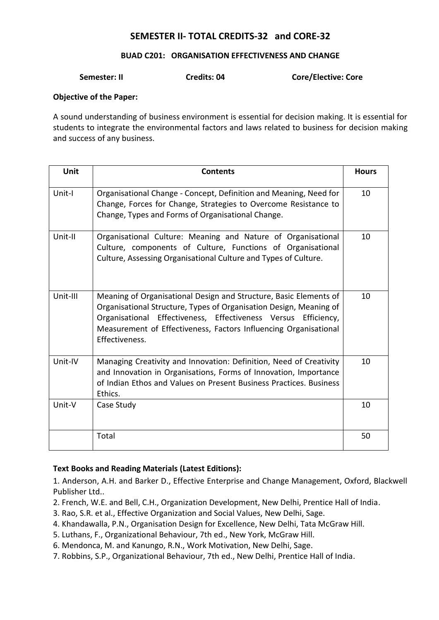# **SEMESTER II- TOTAL CREDITS-32 and CORE-32**

## **BUAD C201: ORGANISATION EFFECTIVENESS AND CHANGE**

# **Semester: II Credits: 04 Core/Elective: Core**

#### **Objective of the Paper:**

A sound understanding of business environment is essential for decision making. It is essential for students to integrate the environmental factors and laws related to business for decision making and success of any business.

| Unit     | <b>Contents</b>                                                                                                                                                                                                                                                                                 | <b>Hours</b> |
|----------|-------------------------------------------------------------------------------------------------------------------------------------------------------------------------------------------------------------------------------------------------------------------------------------------------|--------------|
| Unit-I   | Organisational Change - Concept, Definition and Meaning, Need for<br>Change, Forces for Change, Strategies to Overcome Resistance to<br>Change, Types and Forms of Organisational Change.                                                                                                       | 10           |
| Unit-II  | Organisational Culture: Meaning and Nature of Organisational<br>Culture, components of Culture, Functions of Organisational<br>Culture, Assessing Organisational Culture and Types of Culture.                                                                                                  | 10           |
| Unit-III | Meaning of Organisational Design and Structure, Basic Elements of<br>Organisational Structure, Types of Organisation Design, Meaning of<br>Organisational Effectiveness, Effectiveness Versus Efficiency,<br>Measurement of Effectiveness, Factors Influencing Organisational<br>Effectiveness. | 10           |
| Unit-IV  | Managing Creativity and Innovation: Definition, Need of Creativity<br>and Innovation in Organisations, Forms of Innovation, Importance<br>of Indian Ethos and Values on Present Business Practices. Business<br>Ethics.                                                                         | 10           |
| Unit-V   | Case Study                                                                                                                                                                                                                                                                                      | 10           |
|          | Total                                                                                                                                                                                                                                                                                           | 50           |

# **Text Books and Reading Materials (Latest Editions):**

1. Anderson, A.H. and Barker D., Effective Enterprise and Change Management, Oxford, Blackwell Publisher Ltd..

- 2. French, W.E. and Bell, C.H., Organization Development, New Delhi, Prentice Hall of India.
- 3. Rao, S.R. et al., Effective Organization and Social Values, New Delhi, Sage.
- 4. Khandawalla, P.N., Organisation Design for Excellence, New Delhi, Tata McGraw Hill.
- 5. Luthans, F., Organizational Behaviour, 7th ed., New York, McGraw Hill.
- 6. Mendonca, M. and Kanungo, R.N., Work Motivation, New Delhi, Sage.
- 7. Robbins, S.P., Organizational Behaviour, 7th ed., New Delhi, Prentice Hall of India.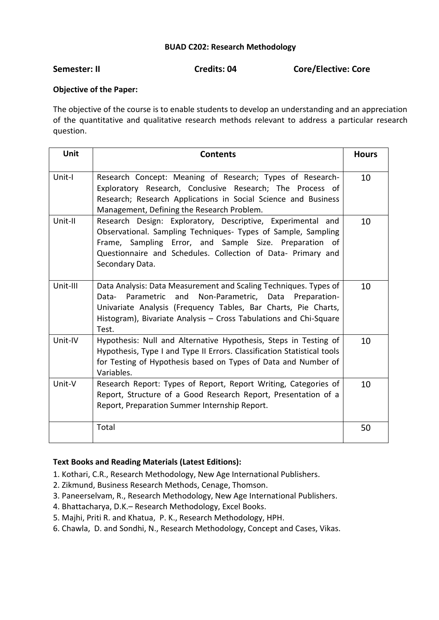# **BUAD C202: Research Methodology**

**Semester: II** Credits: 04 Credits: 04 Core/Elective: Core

# **Objective of the Paper:**

The objective of the course is to enable students to develop an understanding and an appreciation of the quantitative and qualitative research methods relevant to address a particular research question.

| Unit     | <b>Contents</b>                                                                                                                                                                                                                                                                        | <b>Hours</b> |
|----------|----------------------------------------------------------------------------------------------------------------------------------------------------------------------------------------------------------------------------------------------------------------------------------------|--------------|
| Unit-I   | Research Concept: Meaning of Research; Types of Research-<br>Exploratory Research, Conclusive Research; The Process of<br>Research; Research Applications in Social Science and Business<br>Management, Defining the Research Problem.                                                 | 10           |
| Unit-II  | Research Design: Exploratory, Descriptive, Experimental and<br>Observational. Sampling Techniques- Types of Sample, Sampling<br>Frame, Sampling Error, and Sample Size. Preparation<br>of<br>Questionnaire and Schedules. Collection of Data- Primary and<br>Secondary Data.           | 10           |
| Unit-III | Data Analysis: Data Measurement and Scaling Techniques. Types of<br>Parametric<br>and<br>Non-Parametric, Data<br>Data-<br>Preparation-<br>Univariate Analysis (Frequency Tables, Bar Charts, Pie Charts,<br>Histogram), Bivariate Analysis - Cross Tabulations and Chi-Square<br>Test. | 10           |
| Unit-IV  | Hypothesis: Null and Alternative Hypothesis, Steps in Testing of<br>Hypothesis, Type I and Type II Errors. Classification Statistical tools<br>for Testing of Hypothesis based on Types of Data and Number of<br>Variables.                                                            | 10           |
| Unit-V   | Research Report: Types of Report, Report Writing, Categories of<br>Report, Structure of a Good Research Report, Presentation of a<br>Report, Preparation Summer Internship Report.                                                                                                     | 10           |
|          | Total                                                                                                                                                                                                                                                                                  | 50           |

- 1. Kothari, C.R., Research Methodology, New Age International Publishers.
- 2. Zikmund, Business Research Methods, Cenage, Thomson.
- 3. Paneerselvam, R., Research Methodology, New Age International Publishers.
- 4. Bhattacharya, D.K.– Research Methodology, Excel Books.
- 5. Majhi, Priti R. and Khatua, P. K., Research Methodology, HPH.
- 6. Chawla, D. and Sondhi, N., Research Methodology, Concept and Cases, Vikas.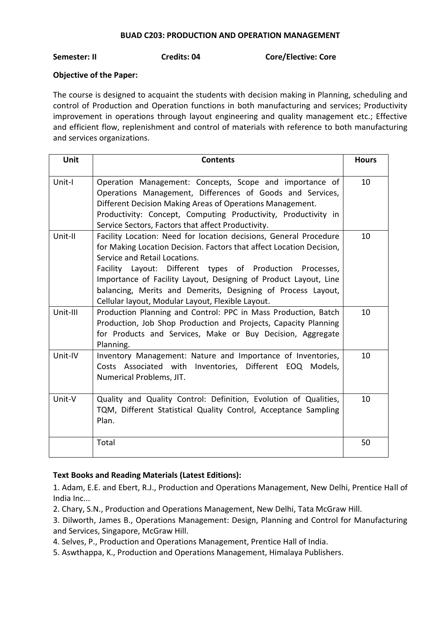# **BUAD C203: PRODUCTION AND OPERATION MANAGEMENT**

**Semester: II Credits: 04 Core/Elective: Core**

# **Objective of the Paper:**

The course is designed to acquaint the students with decision making in Planning, scheduling and control of Production and Operation functions in both manufacturing and services; Productivity improvement in operations through layout engineering and quality management etc.; Effective and efficient flow, replenishment and control of materials with reference to both manufacturing and services organizations.

| Unit     | <b>Contents</b>                                                                                                                                                                                                                                                                                                                                                                                                                  | <b>Hours</b> |
|----------|----------------------------------------------------------------------------------------------------------------------------------------------------------------------------------------------------------------------------------------------------------------------------------------------------------------------------------------------------------------------------------------------------------------------------------|--------------|
| Unit-I   | Operation Management: Concepts, Scope and importance of<br>Operations Management, Differences of Goods and Services,<br>Different Decision Making Areas of Operations Management.<br>Productivity: Concept, Computing Productivity, Productivity in<br>Service Sectors, Factors that affect Productivity.                                                                                                                        | 10           |
| Unit-II  | Facility Location: Need for location decisions, General Procedure<br>for Making Location Decision. Factors that affect Location Decision,<br>Service and Retail Locations.<br>Facility Layout: Different types of Production Processes,<br>Importance of Facility Layout, Designing of Product Layout, Line<br>balancing, Merits and Demerits, Designing of Process Layout,<br>Cellular layout, Modular Layout, Flexible Layout. | 10           |
| Unit-III | Production Planning and Control: PPC in Mass Production, Batch<br>Production, Job Shop Production and Projects, Capacity Planning<br>for Products and Services, Make or Buy Decision, Aggregate<br>Planning.                                                                                                                                                                                                                     | 10           |
| Unit-IV  | Inventory Management: Nature and Importance of Inventories,<br>Costs Associated with Inventories, Different EOQ<br>Models,<br>Numerical Problems, JIT.                                                                                                                                                                                                                                                                           | 10           |
| Unit-V   | Quality and Quality Control: Definition, Evolution of Qualities,<br>TQM, Different Statistical Quality Control, Acceptance Sampling<br>Plan.                                                                                                                                                                                                                                                                                     | 10           |
|          | Total                                                                                                                                                                                                                                                                                                                                                                                                                            | 50           |

# **Text Books and Reading Materials (Latest Editions):**

1. Adam, E.E. and Ebert, R.J., Production and Operations Management, New Delhi, Prentice Hall of India Inc...

2. Chary, S.N., Production and Operations Management, New Delhi, Tata McGraw Hill.

3. Dilworth, James B., Operations Management: Design, Planning and Control for Manufacturing and Services, Singapore, McGraw Hill.

4. Selves, P., Production and Operations Management, Prentice Hall of India.

5. Aswthappa, K., Production and Operations Management, Himalaya Publishers.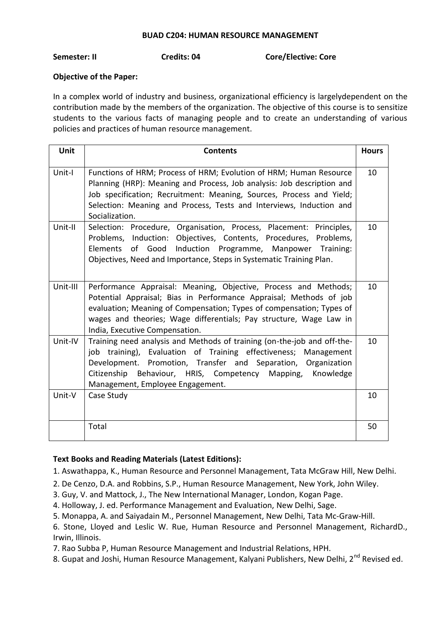# **BUAD C204: HUMAN RESOURCE MANAGEMENT**

**Semester: II Credits: 04 Core/Elective: Core**

# **Objective of the Paper:**

In a complex world of industry and business, organizational efficiency is largelydependent on the contribution made by the members of the organization. The objective of this course is to sensitize students to the various facts of managing people and to create an understanding of various policies and practices of human resource management.

| Unit     | <b>Contents</b>                                                                                                                                                                                                                                                                                                       | <b>Hours</b> |
|----------|-----------------------------------------------------------------------------------------------------------------------------------------------------------------------------------------------------------------------------------------------------------------------------------------------------------------------|--------------|
| Unit-I   | Functions of HRM; Process of HRM; Evolution of HRM; Human Resource<br>Planning (HRP): Meaning and Process, Job analysis: Job description and<br>Job specification; Recruitment: Meaning, Sources, Process and Yield;<br>Selection: Meaning and Process, Tests and Interviews, Induction and<br>Socialization.         | 10           |
| Unit-II  | Selection: Procedure, Organisation, Process, Placement: Principles,<br>Problems, Induction: Objectives, Contents, Procedures, Problems,<br>Elements of Good<br>Induction Programme, Manpower Training:<br>Objectives, Need and Importance, Steps in Systematic Training Plan.                                         | 10           |
| Unit-III | Performance Appraisal: Meaning, Objective, Process and Methods;<br>Potential Appraisal; Bias in Performance Appraisal; Methods of job<br>evaluation; Meaning of Compensation; Types of compensation; Types of<br>wages and theories; Wage differentials; Pay structure, Wage Law in<br>India, Executive Compensation. | 10           |
| Unit-IV  | Training need analysis and Methods of training (on-the-job and off-the-<br>job training), Evaluation of Training effectiveness; Management<br>Development. Promotion, Transfer and Separation, Organization<br>Citizenship Behaviour, HRIS, Competency Mapping,<br>Knowledge<br>Management, Employee Engagement.      | 10           |
| Unit-V   | Case Study                                                                                                                                                                                                                                                                                                            | 10           |
|          | Total                                                                                                                                                                                                                                                                                                                 | 50           |

# **Text Books and Reading Materials (Latest Editions):**

1. Aswathappa, K., Human Resource and Personnel Management, Tata McGraw Hill, New Delhi.

- 2. De Cenzo, D.A. and Robbins, S.P., Human Resource Management, New York, John Wiley.
- 3. Guy, V. and Mattock, J., The New International Manager, London, Kogan Page.
- 4. Holloway, J. ed. Performance Management and Evaluation, New Delhi, Sage.
- 5. Monappa, A. and Saiyadain M., Personnel Management, New Delhi, Tata Mc-Graw-Hill.

6. Stone, Lloyed and Leslic W. Rue, Human Resource and Personnel Management, RichardD., Irwin, Illinois.

7. Rao Subba P, Human Resource Management and Industrial Relations, HPH.

8. Gupat and Joshi, Human Resource Management, Kalyani Publishers, New Delhi, 2<sup>nd</sup> Revised ed.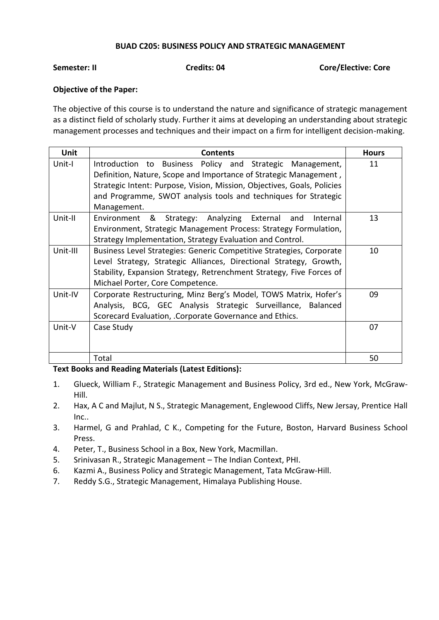## **BUAD C205: BUSINESS POLICY AND STRATEGIC MANAGEMENT**

**Semester: II Credits: 04 Core/Elective: Core**

# **Objective of the Paper:**

The objective of this course is to understand the nature and significance of strategic management as a distinct field of scholarly study. Further it aims at developing an understanding about strategic management processes and techniques and their impact on a firm for intelligent decision-making.

| <b>Unit</b> | <b>Contents</b>                                                         | <b>Hours</b> |
|-------------|-------------------------------------------------------------------------|--------------|
| Unit-I      | Introduction to Business Policy and Strategic Management,               | 11           |
|             | Definition, Nature, Scope and Importance of Strategic Management,       |              |
|             | Strategic Intent: Purpose, Vision, Mission, Objectives, Goals, Policies |              |
|             | and Programme, SWOT analysis tools and techniques for Strategic         |              |
|             | Management.                                                             |              |
| Unit-II     | Environment &<br>Strategy: Analyzing External<br>and<br>Internal        | 13           |
|             | Environment, Strategic Management Process: Strategy Formulation,        |              |
|             | Strategy Implementation, Strategy Evaluation and Control.               |              |
| Unit-III    | Business Level Strategies: Generic Competitive Strategies, Corporate    | 10           |
|             | Level Strategy, Strategic Alliances, Directional Strategy, Growth,      |              |
|             | Stability, Expansion Strategy, Retrenchment Strategy, Five Forces of    |              |
|             | Michael Porter, Core Competence.                                        |              |
| Unit-IV     | Corporate Restructuring, Minz Berg's Model, TOWS Matrix, Hofer's        | 09           |
|             | Analysis, BCG, GEC Analysis Strategic Surveillance, Balanced            |              |
|             | Scorecard Evaluation, .Corporate Governance and Ethics.                 |              |
| Unit-V      | Case Study                                                              | 07           |
|             |                                                                         |              |
|             |                                                                         |              |
|             | Total                                                                   | 50           |

- 1. Glueck, William F., Strategic Management and Business Policy, 3rd ed., New York, McGraw-Hill.
- 2. Hax, A C and Majlut, N S., Strategic Management, Englewood Cliffs, New Jersay, Prentice Hall Inc..
- 3. Harmel, G and Prahlad, C K., Competing for the Future, Boston, Harvard Business School Press.
- 4. Peter, T., Business School in a Box, New York, Macmillan.
- 5. Srinivasan R., Strategic Management The Indian Context, PHI.
- 6. Kazmi A., Business Policy and Strategic Management, Tata McGraw-Hill.
- 7. Reddy S.G., Strategic Management, Himalaya Publishing House.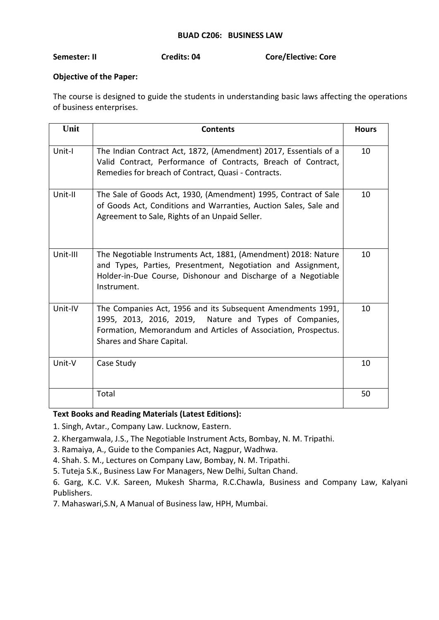### **BUAD C206: BUSINESS LAW**

# **Semester: II Credits: 04 Core/Elective: Core**

### **Objective of the Paper:**

The course is designed to guide the students in understanding basic laws affecting the operations of business enterprises.

| Unit     | <b>Contents</b>                                                                                                                                                                                                      | <b>Hours</b> |
|----------|----------------------------------------------------------------------------------------------------------------------------------------------------------------------------------------------------------------------|--------------|
| Unit-I   | The Indian Contract Act, 1872, (Amendment) 2017, Essentials of a<br>Valid Contract, Performance of Contracts, Breach of Contract,<br>Remedies for breach of Contract, Quasi - Contracts.                             | 10           |
| Unit-II  | The Sale of Goods Act, 1930, (Amendment) 1995, Contract of Sale<br>of Goods Act, Conditions and Warranties, Auction Sales, Sale and<br>Agreement to Sale, Rights of an Unpaid Seller.                                | 10           |
| Unit-III | The Negotiable Instruments Act, 1881, (Amendment) 2018: Nature<br>and Types, Parties, Presentment, Negotiation and Assignment,<br>Holder-in-Due Course, Dishonour and Discharge of a Negotiable<br>Instrument.       | 10           |
| Unit-IV  | The Companies Act, 1956 and its Subsequent Amendments 1991,<br>1995, 2013, 2016, 2019, Nature and Types of Companies,<br>Formation, Memorandum and Articles of Association, Prospectus.<br>Shares and Share Capital. | 10           |
| Unit-V   | Case Study                                                                                                                                                                                                           | 10           |
|          | Total                                                                                                                                                                                                                | 50           |

# **Text Books and Reading Materials (Latest Editions):**

1. Singh, Avtar., Company Law. Lucknow, Eastern.

2. Khergamwala, J.S., The Negotiable Instrument Acts, Bombay, N. M. Tripathi.

3. Ramaiya, A., Guide to the Companies Act, Nagpur, Wadhwa.

4. Shah. S. M., Lectures on Company Law, Bombay, N. M. Tripathi.

5. Tuteja S.K., Business Law For Managers, New Delhi, Sultan Chand.

6. Garg, K.C. V.K. Sareen, Mukesh Sharma, R.C.Chawla, Business and Company Law, Kalyani Publishers.

7. Mahaswari,S.N, A Manual of Business law, HPH, Mumbai.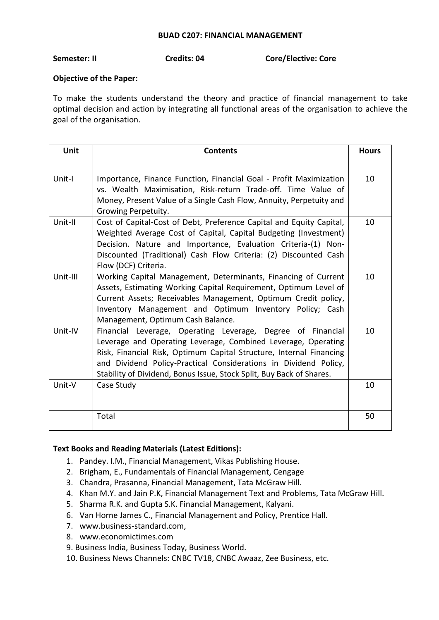#### **BUAD C207: FINANCIAL MANAGEMENT**

# **Semester: II Credits: 04 Core/Elective: Core**

# **Objective of the Paper:**

To make the students understand the theory and practice of financial management to take optimal decision and action by integrating all functional areas of the organisation to achieve the goal of the organisation.

| Unit     | <b>Contents</b>                                                                                                                                                                                                                                                                                                                                 | <b>Hours</b> |
|----------|-------------------------------------------------------------------------------------------------------------------------------------------------------------------------------------------------------------------------------------------------------------------------------------------------------------------------------------------------|--------------|
| Unit-I   | Importance, Finance Function, Financial Goal - Profit Maximization<br>vs. Wealth Maximisation, Risk-return Trade-off. Time Value of<br>Money, Present Value of a Single Cash Flow, Annuity, Perpetuity and<br>Growing Perpetuity.                                                                                                               | 10           |
| Unit-II  | Cost of Capital-Cost of Debt, Preference Capital and Equity Capital,<br>Weighted Average Cost of Capital, Capital Budgeting (Investment)<br>Decision. Nature and Importance, Evaluation Criteria-(1) Non-<br>Discounted (Traditional) Cash Flow Criteria: (2) Discounted Cash<br>Flow (DCF) Criteria.                                           | 10           |
| Unit-III | Working Capital Management, Determinants, Financing of Current<br>Assets, Estimating Working Capital Requirement, Optimum Level of<br>Current Assets; Receivables Management, Optimum Credit policy,<br>Inventory Management and Optimum Inventory Policy; Cash<br>Management, Optimum Cash Balance.                                            | 10           |
| Unit-IV  | Financial Leverage, Operating Leverage, Degree of Financial<br>Leverage and Operating Leverage, Combined Leverage, Operating<br>Risk, Financial Risk, Optimum Capital Structure, Internal Financing<br>and Dividend Policy-Practical Considerations in Dividend Policy,<br>Stability of Dividend, Bonus Issue, Stock Split, Buy Back of Shares. | 10           |
| Unit-V   | Case Study                                                                                                                                                                                                                                                                                                                                      | 10           |
|          | Total                                                                                                                                                                                                                                                                                                                                           | 50           |

- 1. Pandey. I.M., Financial Management, Vikas Publishing House.
- 2. Brigham, E., Fundamentals of Financial Management, Cengage
- 3. Chandra, Prasanna, Financial Management, Tata McGraw Hill.
- 4. Khan M.Y. and Jain P.K, Financial Management Text and Problems, Tata McGraw Hill.
- 5. Sharma R.K. and Gupta S.K. Financial Management, Kalyani.
- 6. Van Horne James C., Financial Management and Policy, Prentice Hall.
- 7. [www.business-standard.com,](http://www.business-standard.com/)
- 8. [www.economictimes.com](http://www.economictimes.com/)
- 9. Business India, Business Today, Business World.
- 10. Business News Channels: CNBC TV18, CNBC Awaaz, Zee Business, etc.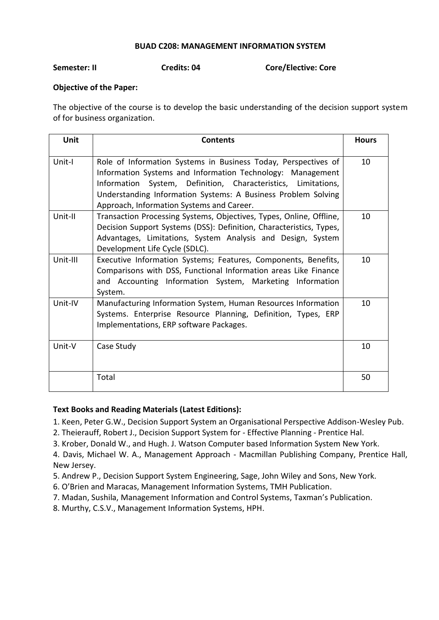### **BUAD C208: MANAGEMENT INFORMATION SYSTEM**

**Semester: II Credits: 04 Core/Elective: Core**

# **Objective of the Paper:**

The objective of the course is to develop the basic understanding of the decision support system of for business organization.

| Unit     | <b>Contents</b>                                                                                                                                                                                                                                                                                             | <b>Hours</b> |
|----------|-------------------------------------------------------------------------------------------------------------------------------------------------------------------------------------------------------------------------------------------------------------------------------------------------------------|--------------|
| Unit-I   | Role of Information Systems in Business Today, Perspectives of<br>Information Systems and Information Technology: Management<br>Information System, Definition, Characteristics, Limitations,<br>Understanding Information Systems: A Business Problem Solving<br>Approach, Information Systems and Career. | 10           |
| Unit-II  | Transaction Processing Systems, Objectives, Types, Online, Offline,<br>Decision Support Systems (DSS): Definition, Characteristics, Types,<br>Advantages, Limitations, System Analysis and Design, System<br>Development Life Cycle (SDLC).                                                                 | 10           |
| Unit-III | Executive Information Systems; Features, Components, Benefits,<br>Comparisons with DSS, Functional Information areas Like Finance<br>and Accounting Information System, Marketing Information<br>System.                                                                                                    | 10           |
| Unit-IV  | Manufacturing Information System, Human Resources Information<br>Systems. Enterprise Resource Planning, Definition, Types, ERP<br>Implementations, ERP software Packages.                                                                                                                                   | 10           |
| Unit-V   | Case Study                                                                                                                                                                                                                                                                                                  | 10           |
|          | Total                                                                                                                                                                                                                                                                                                       | 50           |

# **Text Books and Reading Materials (Latest Editions):**

1. Keen, Peter G.W., Decision Support System an Organisational Perspective Addison-Wesley Pub.

2. Theierauff, Robert J., Decision Support System for - Effective Planning - Prentice Hal.

3. Krober, Donald W., and Hugh. J. Watson Computer based Information System New York.

4. Davis, Michael W. A., Management Approach - Macmillan Publishing Company, Prentice Hall, New Jersey.

- 5. Andrew P., Decision Support System Engineering, Sage, John Wiley and Sons, New York.
- 6. O'Brien and Maracas, Management Information Systems, TMH Publication.
- 7. Madan, Sushila, Management Information and Control Systems, Taxman's Publication.
- 8. Murthy, C.S.V., Management Information Systems, HPH.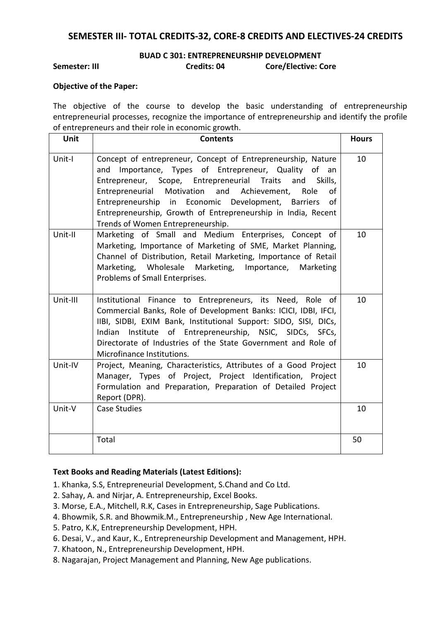# **SEMESTER III- TOTAL CREDITS-32, CORE-8 CREDITS AND ELECTIVES-24 CREDITS**

# **BUAD C 301: ENTREPRENEURSHIP DEVELOPMENT Semester: III Credits: 04 Core/Elective: Core**

### **Objective of the Paper:**

The objective of the course to develop the basic understanding of entrepreneurship entrepreneurial processes, recognize the importance of entrepreneurship and identify the profile of entrepreneurs and their role in economic growth.

| Unit     | <b>Contents</b>                                                                                                                                                                                                                                                                                                                                                                                                            | <b>Hours</b> |
|----------|----------------------------------------------------------------------------------------------------------------------------------------------------------------------------------------------------------------------------------------------------------------------------------------------------------------------------------------------------------------------------------------------------------------------------|--------------|
| Unit-I   | Concept of entrepreneur, Concept of Entrepreneurship, Nature<br>Importance, Types of Entrepreneur, Quality of<br>and<br>an<br>Entrepreneur, Scope, Entrepreneurial Traits<br>and<br>Skills,<br>Entrepreneurial Motivation and Achievement,<br>of<br>Role<br>Entrepreneurship in Economic Development, Barriers<br>of<br>Entrepreneurship, Growth of Entrepreneurship in India, Recent<br>Trends of Women Entrepreneurship. | 10           |
| Unit-II  | Marketing of Small and Medium Enterprises, Concept of<br>Marketing, Importance of Marketing of SME, Market Planning,<br>Channel of Distribution, Retail Marketing, Importance of Retail<br>Marketing, Wholesale<br>Marketing, Importance,<br>Marketing<br>Problems of Small Enterprises.                                                                                                                                   | 10           |
| Unit-III | Institutional Finance to Entrepreneurs, its Need, Role of<br>Commercial Banks, Role of Development Banks: ICICI, IDBI, IFCI,<br>IIBI, SIDBI, EXIM Bank, Institutional Support: SIDO, SISI, DICs,<br>Institute of Entrepreneurship, NSIC, SIDCs, SFCs,<br>Indian<br>Directorate of Industries of the State Government and Role of<br>Microfinance Institutions.                                                             | 10           |
| Unit-IV  | Project, Meaning, Characteristics, Attributes of a Good Project<br>Manager, Types of Project, Project Identification, Project<br>Formulation and Preparation, Preparation of Detailed Project<br>Report (DPR).                                                                                                                                                                                                             | 10           |
| Unit-V   | <b>Case Studies</b>                                                                                                                                                                                                                                                                                                                                                                                                        | 10           |
|          | Total                                                                                                                                                                                                                                                                                                                                                                                                                      | 50           |

- 1. Khanka, S.S, Entrepreneurial Development, S.Chand and Co Ltd.
- 2. Sahay, A. and Nirjar, A. Entrepreneurship, Excel Books.
- 3. Morse, E.A., Mitchell, R.K, Cases in Entrepreneurship, Sage Publications.
- 4. Bhowmik, S.R. and Bhowmik.M., Entrepreneurship , New Age International.
- 5. Patro, K.K, Entrepreneurship Development, HPH.
- 6. Desai, V., and Kaur, K., Entrepreneurship Development and Management, HPH.
- 7. Khatoon, N., Entrepreneurship Development, HPH.
- 8. Nagarajan, Project Management and Planning, New Age publications.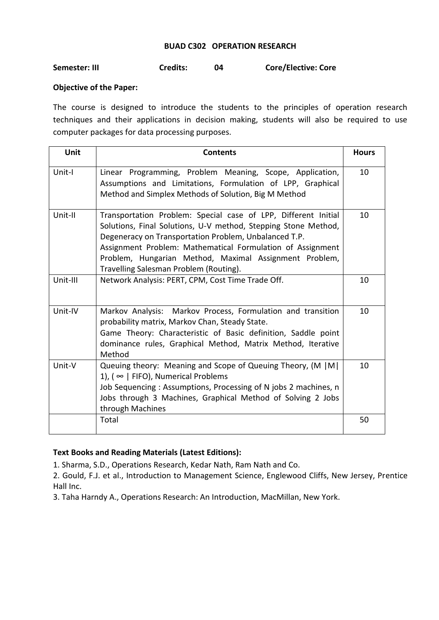# **BUAD C302 OPERATION RESEARCH**

# **Semester: III Credits: 04 Core/Elective: Core**

# **Objective of the Paper:**

The course is designed to introduce the students to the principles of operation research techniques and their applications in decision making, students will also be required to use computer packages for data processing purposes.

| Unit     | <b>Contents</b>                                                                                                                                                                                                                                                                                                                                             | <b>Hours</b> |
|----------|-------------------------------------------------------------------------------------------------------------------------------------------------------------------------------------------------------------------------------------------------------------------------------------------------------------------------------------------------------------|--------------|
| Unit-I   | Linear Programming, Problem Meaning, Scope, Application,<br>Assumptions and Limitations, Formulation of LPP, Graphical<br>Method and Simplex Methods of Solution, Big M Method                                                                                                                                                                              | 10           |
| Unit-II  | Transportation Problem: Special case of LPP, Different Initial<br>Solutions, Final Solutions, U-V method, Stepping Stone Method,<br>Degeneracy on Transportation Problem, Unbalanced T.P.<br>Assignment Problem: Mathematical Formulation of Assignment<br>Problem, Hungarian Method, Maximal Assignment Problem,<br>Travelling Salesman Problem (Routing). | 10           |
| Unit-III | Network Analysis: PERT, CPM, Cost Time Trade Off.                                                                                                                                                                                                                                                                                                           | 10           |
| Unit-IV  | Markov Analysis: Markov Process, Formulation and transition<br>probability matrix, Markov Chan, Steady State.<br>Game Theory: Characteristic of Basic definition, Saddle point<br>dominance rules, Graphical Method, Matrix Method, Iterative<br>Method                                                                                                     | 10           |
| Unit-V   | Queuing theory: Meaning and Scope of Queuing Theory, (M   M  <br>1), ( $\infty$   FIFO), Numerical Problems<br>Job Sequencing: Assumptions, Processing of N jobs 2 machines, n<br>Jobs through 3 Machines, Graphical Method of Solving 2 Jobs<br>through Machines                                                                                           | 10           |
|          | Total                                                                                                                                                                                                                                                                                                                                                       | 50           |

# **Text Books and Reading Materials (Latest Editions):**

1. Sharma, S.D., Operations Research, Kedar Nath, Ram Nath and Co.

2. Gould, F.J. et al., Introduction to Management Science, Englewood Cliffs, New Jersey, Prentice Hall Inc.

3. Taha Harndy A., Operations Research: An Introduction, MacMillan, New York.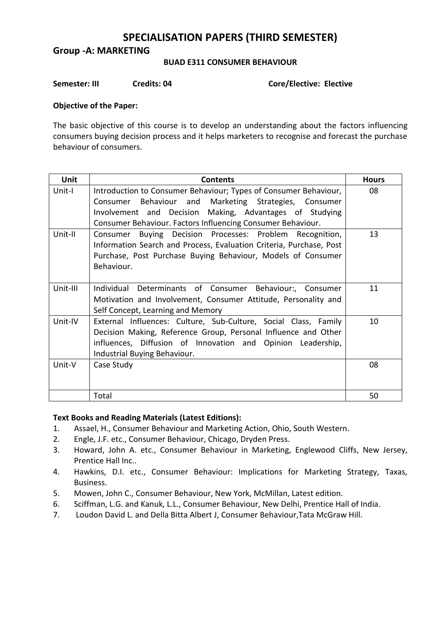# **SPECIALISATION PAPERS (THIRD SEMESTER)**

**Group -A: MARKETING**

# **BUAD E311 CONSUMER BEHAVIOUR**

**Semester: III Credits: 04** Core/Elective: Elective

# **Objective of the Paper:**

The basic objective of this course is to develop an understanding about the factors influencing consumers buying decision process and it helps marketers to recognise and forecast the purchase behaviour of consumers.

| <b>Unit</b> | <b>Contents</b>                                                                                                                                                                                                                                     | <b>Hours</b> |
|-------------|-----------------------------------------------------------------------------------------------------------------------------------------------------------------------------------------------------------------------------------------------------|--------------|
| Unit-I      | Introduction to Consumer Behaviour; Types of Consumer Behaviour,<br>Consumer Behaviour and Marketing Strategies, Consumer<br>Involvement and Decision Making, Advantages of Studying<br>Consumer Behaviour. Factors Influencing Consumer Behaviour. | 08           |
| Unit-II     | Buying Decision Processes: Problem Recognition,<br>Consumer<br>Information Search and Process, Evaluation Criteria, Purchase, Post<br>Purchase, Post Purchase Buying Behaviour, Models of Consumer<br>Behaviour.                                    | 13           |
| Unit-III    | Individual Determinants of Consumer Behaviour:, Consumer<br>Motivation and Involvement, Consumer Attitude, Personality and<br>Self Concept, Learning and Memory                                                                                     | 11           |
| Unit-IV     | External Influences: Culture, Sub-Culture, Social Class, Family<br>Decision Making, Reference Group, Personal Influence and Other<br>influences, Diffusion of Innovation and Opinion Leadership,<br>Industrial Buying Behaviour.                    | 10           |
| Unit-V      | Case Study                                                                                                                                                                                                                                          | 08           |
|             | Total                                                                                                                                                                                                                                               | 50           |

- 1. Assael, H., Consumer Behaviour and Marketing Action, Ohio, South Western.
- 2. Engle, J.F. etc., Consumer Behaviour, Chicago, Dryden Press.
- 3. Howard, John A. etc., Consumer Behaviour in Marketing, Englewood Cliffs, New Jersey, Prentice Hall Inc..
- 4. Hawkins, D.I. etc., Consumer Behaviour: Implications for Marketing Strategy, Taxas, Business.
- 5. Mowen, John C., Consumer Behaviour, New York, McMillan, Latest edition.
- 6. Sciffman, L.G. and Kanuk, L.L., Consumer Behaviour, New Delhi, Prentice Hall of India.
- 7. Loudon David L. and Della Bitta Albert J, Consumer Behaviour,Tata McGraw Hill.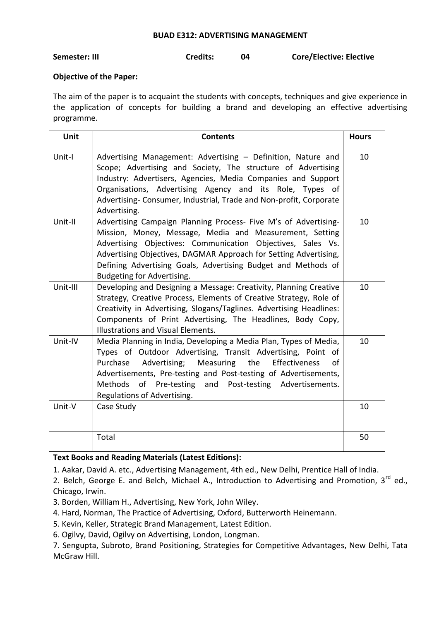#### **BUAD E312: ADVERTISING MANAGEMENT**

**Semester: III Credits: 04 Core/Elective: Elective**

# **Objective of the Paper:**

The aim of the paper is to acquaint the students with concepts, techniques and give experience in the application of concepts for building a brand and developing an effective advertising programme.

| Unit     | <b>Contents</b>                                                                                                                                                                                                                                                                                                                                                   | <b>Hours</b> |
|----------|-------------------------------------------------------------------------------------------------------------------------------------------------------------------------------------------------------------------------------------------------------------------------------------------------------------------------------------------------------------------|--------------|
| Unit-I   | Advertising Management: Advertising - Definition, Nature and<br>Scope; Advertising and Society, The structure of Advertising<br>Industry: Advertisers, Agencies, Media Companies and Support<br>Organisations, Advertising Agency and its Role, Types of<br>Advertising-Consumer, Industrial, Trade and Non-profit, Corporate<br>Advertising.                     | 10           |
| Unit-II  | Advertising Campaign Planning Process- Five M's of Advertising-<br>Mission, Money, Message, Media and Measurement, Setting<br>Advertising Objectives: Communication Objectives, Sales Vs.<br>Advertising Objectives, DAGMAR Approach for Setting Advertising,<br>Defining Advertising Goals, Advertising Budget and Methods of<br>Budgeting for Advertising.      | 10           |
| Unit-III | Developing and Designing a Message: Creativity, Planning Creative<br>Strategy, Creative Process, Elements of Creative Strategy, Role of<br>Creativity in Advertising, Slogans/Taglines. Advertising Headlines:<br>Components of Print Advertising, The Headlines, Body Copy,<br>Illustrations and Visual Elements.                                                | 10           |
| Unit-IV  | Media Planning in India, Developing a Media Plan, Types of Media,<br>Types of Outdoor Advertising, Transit Advertising, Point of<br>Advertising; Measuring<br>the<br>Effectiveness<br>Purchase<br>of<br>Advertisements, Pre-testing and Post-testing of Advertisements,<br>Methods of Pre-testing and Post-testing Advertisements.<br>Regulations of Advertising. | 10           |
| Unit-V   | Case Study                                                                                                                                                                                                                                                                                                                                                        | 10           |
|          | Total                                                                                                                                                                                                                                                                                                                                                             | 50           |

# **Text Books and Reading Materials (Latest Editions):**

1. Aakar, David A. etc., Advertising Management, 4th ed., New Delhi, Prentice Hall of India.

2. Belch, George E. and Belch, Michael A., Introduction to Advertising and Promotion, 3<sup>rd</sup> ed., Chicago, Irwin.

- 3. Borden, William H., Advertising, New York, John Wiley.
- 4. Hard, Norman, The Practice of Advertising, Oxford, Butterworth Heinemann.
- 5. Kevin, Keller, Strategic Brand Management, Latest Edition.
- 6. Ogilvy, David, Ogilvy on Advertising, London, Longman.

7. Sengupta, Subroto, Brand Positioning, Strategies for Competitive Advantages, New Delhi, Tata McGraw Hill.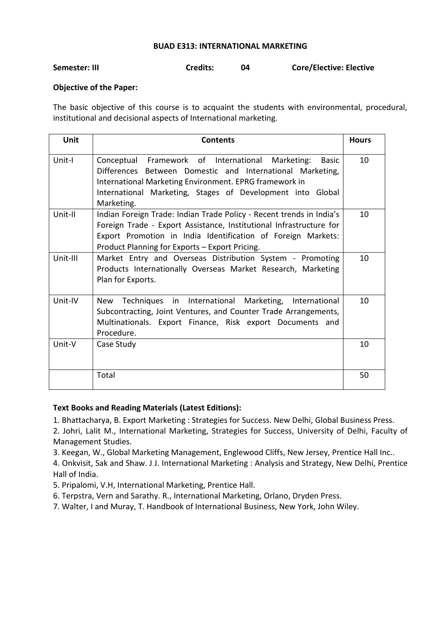#### **BUAD E313: INTERNATIONAL MARKETING**

| <b>Credits:</b><br>Semester: III | <b>Core/Elective: Elective</b> |
|----------------------------------|--------------------------------|
|----------------------------------|--------------------------------|

# **Objective of the Paper:**

The basic objective of this course is to acquaint the students with environmental, procedural, institutional and decisional aspects of International marketing.

| Unit     | <b>Contents</b>                                                                                                                                                                                                                                                           | <b>Hours</b> |
|----------|---------------------------------------------------------------------------------------------------------------------------------------------------------------------------------------------------------------------------------------------------------------------------|--------------|
| Unit-I   | Framework of International<br>Conceptual<br>Marketing:<br><b>Basic</b><br>Differences Between Domestic and International Marketing,<br>International Marketing Environment. EPRG framework in<br>International Marketing, Stages of Development into Global<br>Marketing. | 10           |
| Unit-II  | Indian Foreign Trade: Indian Trade Policy - Recent trends in India's<br>Foreign Trade - Export Assistance, Institutional Infrastructure for<br>Export Promotion in India Identification of Foreign Markets:<br>Product Planning for Exports - Export Pricing.             | 10           |
| Unit-III | Market Entry and Overseas Distribution System - Promoting<br>Products Internationally Overseas Market Research, Marketing<br>Plan for Exports.                                                                                                                            | 10           |
| Unit-IV  | Techniques in International Marketing, International<br>New<br>Subcontracting, Joint Ventures, and Counter Trade Arrangements,<br>Multinationals. Export Finance, Risk export Documents and<br>Procedure.                                                                 | 10           |
| Unit-V   | Case Study                                                                                                                                                                                                                                                                | 10           |
|          | Total                                                                                                                                                                                                                                                                     | 50           |

# **Text Books and Reading Materials (Latest Editions):**

1. Bhattacharya, B. Export Marketing : Strategies for Success. New Delhi, Global Business Press.

2. Johri, Lalit M., International Marketing, Strategies for Success, University of Delhi, Faculty of Management Studies.

3. Keegan, W., Global Marketing Management, Englewood Cliffs, New Jersey, Prentice Hall Inc..

4. Onkvisit, Sak and Shaw. J J. International Marketing : Analysis and Strategy, New Delhi, Prentice Hall of India.

5. Pripalomi, V.H, International Marketing, Prentice Hall.

6. Terpstra, Vern and Sarathy. R., International Marketing, Orlano, Dryden Press.

7. Walter, I and Muray, T. Handbook of International Business, New York, John Wiley.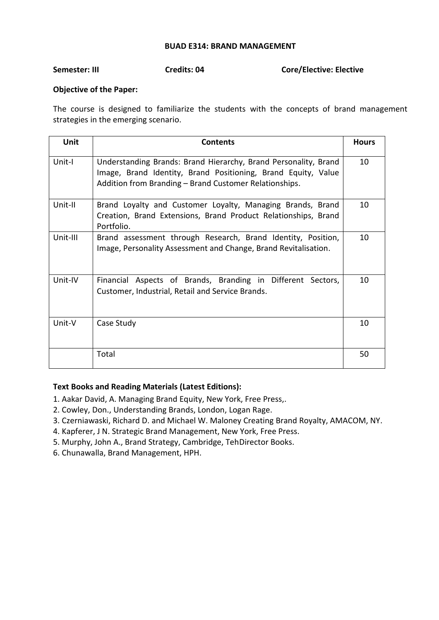# **BUAD E314: BRAND MANAGEMENT**

**Semester: III Credits: 04 Core/Elective: Elective**

# **Objective of the Paper:**

The course is designed to familiarize the students with the concepts of brand management strategies in the emerging scenario.

| Unit     | <b>Contents</b>                                                                                                                                                                            | <b>Hours</b> |
|----------|--------------------------------------------------------------------------------------------------------------------------------------------------------------------------------------------|--------------|
| Unit-I   | Understanding Brands: Brand Hierarchy, Brand Personality, Brand<br>Image, Brand Identity, Brand Positioning, Brand Equity, Value<br>Addition from Branding - Brand Customer Relationships. | 10           |
| Unit-II  | Brand Loyalty and Customer Loyalty, Managing Brands, Brand<br>Creation, Brand Extensions, Brand Product Relationships, Brand<br>Portfolio.                                                 | 10           |
| Unit-III | Brand assessment through Research, Brand Identity, Position,<br>Image, Personality Assessment and Change, Brand Revitalisation.                                                            | 10           |
| Unit-IV  | Financial Aspects of Brands, Branding in Different Sectors,<br>Customer, Industrial, Retail and Service Brands.                                                                            | 10           |
| Unit-V   | Case Study                                                                                                                                                                                 | 10           |
|          | Total                                                                                                                                                                                      | 50           |

- 1. Aakar David, A. Managing Brand Equity, New York, Free Press,.
- 2. Cowley, Don., Understanding Brands, London, Logan Rage.
- 3. Czerniawaski, Richard D. and Michael W. Maloney Creating Brand Royalty, AMACOM, NY.
- 4. Kapferer, J N. Strategic Brand Management, New York, Free Press.
- 5. Murphy, John A., Brand Strategy, Cambridge, TehDirector Books.
- 6. Chunawalla, Brand Management, HPH.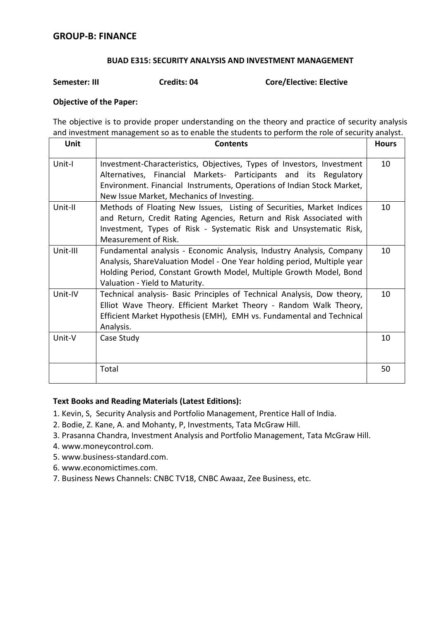# **BUAD E315: SECURITY ANALYSIS AND INVESTMENT MANAGEMENT**

**Semester: III Credits: 04 Core/Elective: Elective**

# **Objective of the Paper:**

The objective is to provide proper understanding on the theory and practice of security analysis and investment management so as to enable the students to perform the role of security analyst.

| <b>Unit</b> | <b>Contents</b>                                                                                                                                                                                                                                         | <b>Hours</b> |
|-------------|---------------------------------------------------------------------------------------------------------------------------------------------------------------------------------------------------------------------------------------------------------|--------------|
| Unit-I      | Investment-Characteristics, Objectives, Types of Investors, Investment<br>Alternatives, Financial Markets- Participants and its Regulatory<br>Environment. Financial Instruments, Operations of Indian Stock Market,                                    | 10           |
|             | New Issue Market, Mechanics of Investing.                                                                                                                                                                                                               |              |
| Unit-II     | Methods of Floating New Issues, Listing of Securities, Market Indices<br>and Return, Credit Rating Agencies, Return and Risk Associated with<br>Investment, Types of Risk - Systematic Risk and Unsystematic Risk,<br>Measurement of Risk.              | 10           |
| Unit-III    | Fundamental analysis - Economic Analysis, Industry Analysis, Company<br>Analysis, ShareValuation Model - One Year holding period, Multiple year<br>Holding Period, Constant Growth Model, Multiple Growth Model, Bond<br>Valuation - Yield to Maturity. | 10           |
| Unit-IV     | Technical analysis- Basic Principles of Technical Analysis, Dow theory,<br>Elliot Wave Theory. Efficient Market Theory - Random Walk Theory,<br>Efficient Market Hypothesis (EMH), EMH vs. Fundamental and Technical<br>Analysis.                       | 10           |
| Unit-V      | Case Study                                                                                                                                                                                                                                              | 10           |
|             | Total                                                                                                                                                                                                                                                   | 50           |

- 1. Kevin, S, Security Analysis and Portfolio Management, Prentice Hall of India.
- 2. Bodie, Z. Kane, A. and Mohanty, P, Investments, Tata McGraw Hill.
- 3. Prasanna Chandra, Investment Analysis and Portfolio Management, Tata McGraw Hill.
- 4. [www.moneycontrol.com](http://www.moneycontrol.com/).
- 5. [www.business-standard.com](http://www.business-standard.com/).
- 6. [www.economictimes.com](http://www.economictimes.com/).
- 7. Business News Channels: CNBC TV18, CNBC Awaaz, Zee Business, etc.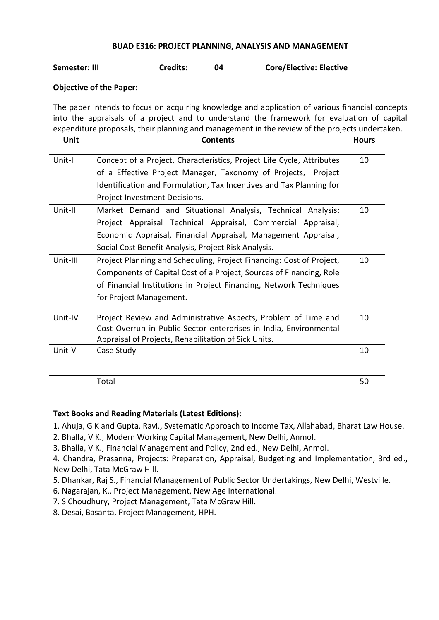# **BUAD E316: PROJECT PLANNING, ANALYSIS AND MANAGEMENT**

# **Semester: III Credits: 04 Core/Elective: Elective**

# **Objective of the Paper:**

The paper intends to focus on acquiring knowledge and application of various financial concepts into the appraisals of a project and to understand the framework for evaluation of capital expenditure proposals, their planning and management in the review of the projects undertaken.

| Unit     | <b>Contents</b>                                                       | <b>Hours</b> |
|----------|-----------------------------------------------------------------------|--------------|
| Unit-I   | Concept of a Project, Characteristics, Project Life Cycle, Attributes | 10           |
|          | of a Effective Project Manager, Taxonomy of Projects, Project         |              |
|          | Identification and Formulation, Tax Incentives and Tax Planning for   |              |
|          | Project Investment Decisions.                                         |              |
| Unit-II  | Market Demand and Situational Analysis, Technical Analysis:           | 10           |
|          | Project Appraisal Technical Appraisal, Commercial Appraisal,          |              |
|          | Economic Appraisal, Financial Appraisal, Management Appraisal,        |              |
|          | Social Cost Benefit Analysis, Project Risk Analysis.                  |              |
| Unit-III | Project Planning and Scheduling, Project Financing: Cost of Project,  | 10           |
|          | Components of Capital Cost of a Project, Sources of Financing, Role   |              |
|          | of Financial Institutions in Project Financing, Network Techniques    |              |
|          | for Project Management.                                               |              |
| Unit-IV  | Project Review and Administrative Aspects, Problem of Time and        | 10           |
|          | Cost Overrun in Public Sector enterprises in India, Environmental     |              |
|          | Appraisal of Projects, Rehabilitation of Sick Units.                  |              |
| Unit-V   | Case Study                                                            | 10           |
|          |                                                                       |              |
|          | Total                                                                 | 50           |

# **Text Books and Reading Materials (Latest Editions):**

1. Ahuja, G K and Gupta, Ravi., Systematic Approach to Income Tax, Allahabad, Bharat Law House.

2. Bhalla, V K., Modern Working Capital Management, New Delhi, Anmol.

3. Bhalla, V K., Financial Management and Policy, 2nd ed., New Delhi, Anmol.

4. Chandra, Prasanna, Projects: Preparation, Appraisal, Budgeting and Implementation, 3rd ed., New Delhi, Tata McGraw Hill.

- 5. Dhankar, Raj S., Financial Management of Public Sector Undertakings, New Delhi, Westville.
- 6. Nagarajan, K., Project Management, New Age International.
- 7. S Choudhury, Project Management, Tata McGraw Hill.
- 8. Desai, Basanta, Project Management, HPH.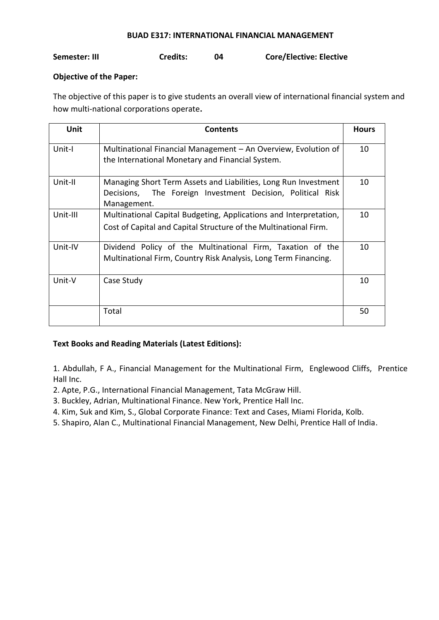### **BUAD E317: INTERNATIONAL FINANCIAL MANAGEMENT**

**Semester: III Credits: 04 Core/Elective: Elective**

# **Objective of the Paper:**

The objective of this paper is to give students an overall view of international financial system and how multi-national corporations operate**.**

| <b>Unit</b> | <b>Contents</b>                                                                                                                                 | <b>Hours</b> |
|-------------|-------------------------------------------------------------------------------------------------------------------------------------------------|--------------|
| Unit-I      | Multinational Financial Management - An Overview, Evolution of<br>the International Monetary and Financial System.                              | 10           |
| Unit-II     | Managing Short Term Assets and Liabilities, Long Run Investment<br>The Foreign Investment Decision, Political Risk<br>Decisions,<br>Management. | 10           |
| Unit-III    | Multinational Capital Budgeting, Applications and Interpretation,<br>Cost of Capital and Capital Structure of the Multinational Firm.           | 10           |
| Unit-IV     | Dividend Policy of the Multinational Firm, Taxation of the<br>Multinational Firm, Country Risk Analysis, Long Term Financing.                   | 10           |
| Unit-V      | Case Study                                                                                                                                      | 10           |
|             | Total                                                                                                                                           | 50           |

# **Text Books and Reading Materials (Latest Editions):**

1. Abdullah, F A., Financial Management for the Multinational Firm, Englewood Cliffs, Prentice Hall Inc.

- 2. Apte, P.G., International Financial Management, Tata McGraw Hill.
- 3. Buckley, Adrian, Multinational Finance. New York, Prentice Hall Inc.
- 4. Kim, Suk and Kim, S., Global Corporate Finance: Text and Cases, Miami Florida, Kolb.
- 5. Shapiro, Alan C., Multinational Financial Management, New Delhi, Prentice Hall of India.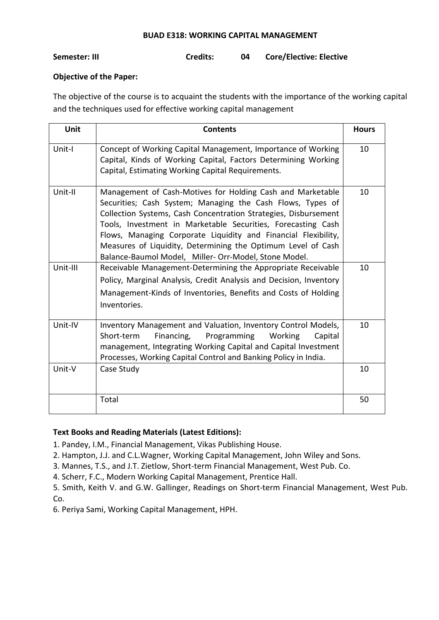### **BUAD E318: WORKING CAPITAL MANAGEMENT**

# **Semester: III Credits: 04 Core/Elective: Elective**

# **Objective of the Paper:**

The objective of the course is to acquaint the students with the importance of the working capital and the techniques used for effective working capital management

| <b>Unit</b> | <b>Contents</b>                                                                                                                                                                                                                                                                                                                                                                                                                                        | <b>Hours</b> |
|-------------|--------------------------------------------------------------------------------------------------------------------------------------------------------------------------------------------------------------------------------------------------------------------------------------------------------------------------------------------------------------------------------------------------------------------------------------------------------|--------------|
| Unit-I      | Concept of Working Capital Management, Importance of Working<br>Capital, Kinds of Working Capital, Factors Determining Working<br>Capital, Estimating Working Capital Requirements.                                                                                                                                                                                                                                                                    | 10           |
| Unit-II     | Management of Cash-Motives for Holding Cash and Marketable<br>Securities; Cash System; Managing the Cash Flows, Types of<br>Collection Systems, Cash Concentration Strategies, Disbursement<br>Tools, Investment in Marketable Securities, Forecasting Cash<br>Flows, Managing Corporate Liquidity and Financial Flexibility,<br>Measures of Liquidity, Determining the Optimum Level of Cash<br>Balance-Baumol Model, Miller- Orr-Model, Stone Model. | 10           |
| Unit-III    | Receivable Management-Determining the Appropriate Receivable<br>Policy, Marginal Analysis, Credit Analysis and Decision, Inventory<br>Management-Kinds of Inventories, Benefits and Costs of Holding<br>Inventories.                                                                                                                                                                                                                                   | 10           |
| Unit-IV     | Inventory Management and Valuation, Inventory Control Models,<br>Short-term<br>Financing,<br>Programming<br>Working<br>Capital<br>management, Integrating Working Capital and Capital Investment<br>Processes, Working Capital Control and Banking Policy in India.                                                                                                                                                                                    | 10           |
| Unit-V      | Case Study                                                                                                                                                                                                                                                                                                                                                                                                                                             | 10           |
|             | Total                                                                                                                                                                                                                                                                                                                                                                                                                                                  | 50           |

# **Text Books and Reading Materials (Latest Editions):**

1. Pandey, I.M., Financial Management, Vikas Publishing House.

- 2. Hampton, J.J. and C.L.Wagner, Working Capital Management, John Wiley and Sons.
- 3. Mannes, T.S., and J.T. Zietlow, Short-term Financial Management, West Pub. Co.
- 4. Scherr, F.C., Modern Working Capital Management, Prentice Hall.

5. Smith, Keith V. and G.W. Gallinger, Readings on Short-term Financial Management, West Pub. Co.

6. Periya Sami, Working Capital Management, HPH.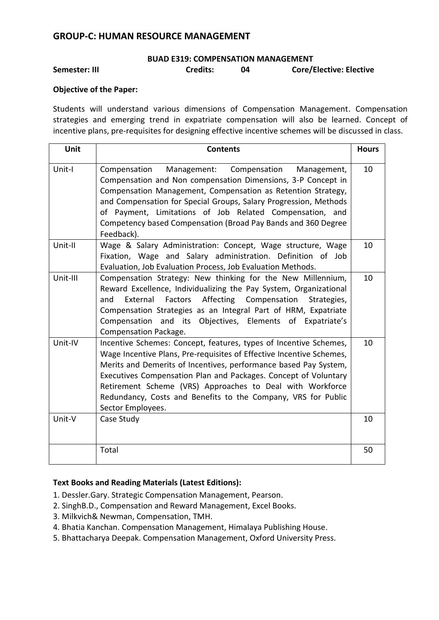# **GROUP-C: HUMAN RESOURCE MANAGEMENT**

#### **BUAD E319: COMPENSATION MANAGEMENT**

# **Semester: III Credits: 04 Core/Elective: Elective**

# **Objective of the Paper:**

Students will understand various dimensions of Compensation Management. Compensation strategies and emerging trend in expatriate compensation will also be learned. Concept of incentive plans, pre-requisites for designing effective incentive schemes will be discussed in class.

| Unit     | <b>Contents</b>                                                                                                                                                                                                                                                                                                                                                                                                                     | <b>Hours</b> |
|----------|-------------------------------------------------------------------------------------------------------------------------------------------------------------------------------------------------------------------------------------------------------------------------------------------------------------------------------------------------------------------------------------------------------------------------------------|--------------|
| Unit-I   | Compensation<br>Management: Compensation<br>Management,<br>Compensation and Non compensation Dimensions, 3-P Concept in<br>Compensation Management, Compensation as Retention Strategy,<br>and Compensation for Special Groups, Salary Progression, Methods<br>of Payment, Limitations of Job Related Compensation, and<br>Competency based Compensation (Broad Pay Bands and 360 Degree<br>Feedback).                              | 10           |
| Unit-II  | Wage & Salary Administration: Concept, Wage structure, Wage<br>Fixation, Wage and Salary administration. Definition of Job<br>Evaluation, Job Evaluation Process, Job Evaluation Methods.                                                                                                                                                                                                                                           | 10           |
| Unit-III | Compensation Strategy: New thinking for the New Millennium,<br>Reward Excellence, Individualizing the Pay System, Organizational<br>Affecting<br>External<br>Factors<br>Compensation<br>Strategies,<br>and<br>Compensation Strategies as an Integral Part of HRM, Expatriate<br>Compensation and its Objectives, Elements of Expatriate's<br>Compensation Package.                                                                  | 10           |
| Unit-IV  | Incentive Schemes: Concept, features, types of Incentive Schemes,<br>Wage Incentive Plans, Pre-requisites of Effective Incentive Schemes,<br>Merits and Demerits of Incentives, performance based Pay System,<br>Executives Compensation Plan and Packages. Concept of Voluntary<br>Retirement Scheme (VRS) Approaches to Deal with Workforce<br>Redundancy, Costs and Benefits to the Company, VRS for Public<br>Sector Employees. | 10           |
| Unit-V   | Case Study                                                                                                                                                                                                                                                                                                                                                                                                                          | 10           |
|          | Total                                                                                                                                                                                                                                                                                                                                                                                                                               | 50           |

- 1. Dessler.Gary. Strategic Compensation Management, Pearson.
- 2. SinghB.D., Compensation and Reward Management, Excel Books.
- 3. Milkvich& Newman, Compensation, TMH.
- 4. Bhatia Kanchan. Compensation Management, Himalaya Publishing House.
- 5. Bhattacharya Deepak. Compensation Management, Oxford University Press.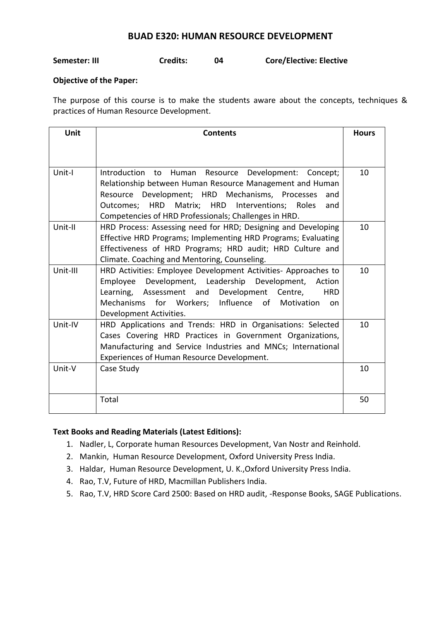# **BUAD E320: HUMAN RESOURCE DEVELOPMENT**

# **Semester: III Credits: 04 Core/Elective: Elective**

# **Objective of the Paper:**

The purpose of this course is to make the students aware about the concepts, techniques & practices of Human Resource Development.

| <b>Unit</b> | <b>Contents</b>                                                                                                                                                                                                                                                                              | <b>Hours</b> |
|-------------|----------------------------------------------------------------------------------------------------------------------------------------------------------------------------------------------------------------------------------------------------------------------------------------------|--------------|
|             |                                                                                                                                                                                                                                                                                              |              |
| Unit-I      | Introduction to Human Resource Development: Concept;<br>Relationship between Human Resource Management and Human<br>Resource Development; HRD Mechanisms, Processes<br>and<br>Outcomes; HRD Matrix; HRD Interventions; Roles<br>and<br>Competencies of HRD Professionals; Challenges in HRD. | 10           |
| Unit-II     | HRD Process: Assessing need for HRD; Designing and Developing<br>Effective HRD Programs; Implementing HRD Programs; Evaluating<br>Effectiveness of HRD Programs; HRD audit; HRD Culture and<br>Climate. Coaching and Mentoring, Counseling.                                                  | 10           |
| Unit-III    | HRD Activities: Employee Development Activities- Approaches to<br>Employee Development, Leadership Development, Action<br>Learning, Assessment and Development Centre,<br><b>HRD</b><br>Mechanisms for Workers; Influence of Motivation<br>on.<br>Development Activities.                    | 10           |
| Unit-IV     | HRD Applications and Trends: HRD in Organisations: Selected<br>Cases Covering HRD Practices in Government Organizations,<br>Manufacturing and Service Industries and MNCs; International<br>Experiences of Human Resource Development.                                                       | 10           |
| Unit-V      | Case Study                                                                                                                                                                                                                                                                                   | 10           |
|             | Total                                                                                                                                                                                                                                                                                        | 50           |

- 1. Nadler, L, Corporate human Resources Development, Van Nostr and Reinhold.
- 2. Mankin, Human Resource Development, Oxford University Press India.
- 3. Haldar, Human Resource Development, U. K.,Oxford University Press India.
- 4. Rao, T.V, Future of HRD, Macmillan Publishers India.
- 5. Rao, T.V, HRD Score Card 2500: Based on HRD audit, -Response Books, SAGE Publications.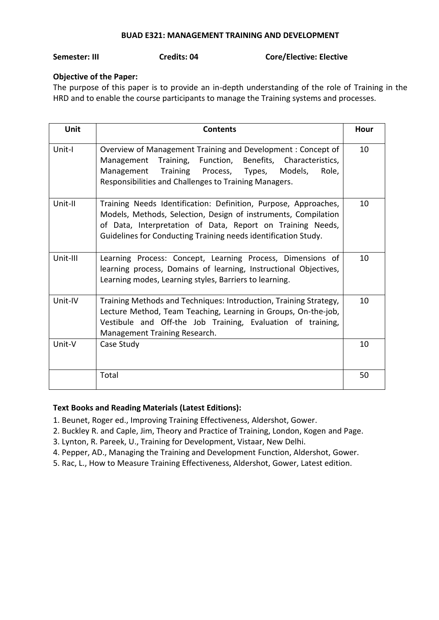# **BUAD E321: MANAGEMENT TRAINING AND DEVELOPMENT**

### **Semester: III Credits: 04 Core/Elective: Elective**

# **Objective of the Paper:**

The purpose of this paper is to provide an in-depth understanding of the role of Training in the HRD and to enable the course participants to manage the Training systems and processes.

| <b>Unit</b> | <b>Contents</b>                                                                                                                                                                                                                                                   | Hour |
|-------------|-------------------------------------------------------------------------------------------------------------------------------------------------------------------------------------------------------------------------------------------------------------------|------|
| Unit-I      | Overview of Management Training and Development: Concept of<br>Management Training, Function, Benefits, Characteristics,<br>Management Training Process, Types, Models,<br>Role,<br>Responsibilities and Challenges to Training Managers.                         | 10   |
| Unit-II     | Training Needs Identification: Definition, Purpose, Approaches,<br>Models, Methods, Selection, Design of instruments, Compilation<br>of Data, Interpretation of Data, Report on Training Needs,<br>Guidelines for Conducting Training needs identification Study. | 10   |
| Unit-III    | Learning Process: Concept, Learning Process, Dimensions of<br>learning process, Domains of learning, Instructional Objectives,<br>Learning modes, Learning styles, Barriers to learning.                                                                          | 10   |
| Unit-IV     | Training Methods and Techniques: Introduction, Training Strategy,<br>Lecture Method, Team Teaching, Learning in Groups, On-the-job,<br>Vestibule and Off-the Job Training, Evaluation of training,<br>Management Training Research.                               | 10   |
| Unit-V      | Case Study                                                                                                                                                                                                                                                        | 10   |
|             | Total                                                                                                                                                                                                                                                             | 50   |

# **Text Books and Reading Materials (Latest Editions):**

1. Beunet, Roger ed., Improving Training Effectiveness, Aldershot, Gower.

- 2. Buckley R. and Caple, Jim, Theory and Practice of Training, London, Kogen and Page.
- 3. Lynton, R. Pareek, U., Training for Development, Vistaar, New Delhi.
- 4. Pepper, AD., Managing the Training and Development Function, Aldershot, Gower.
- 5. Rac, L., How to Measure Training Effectiveness, Aldershot, Gower, Latest edition.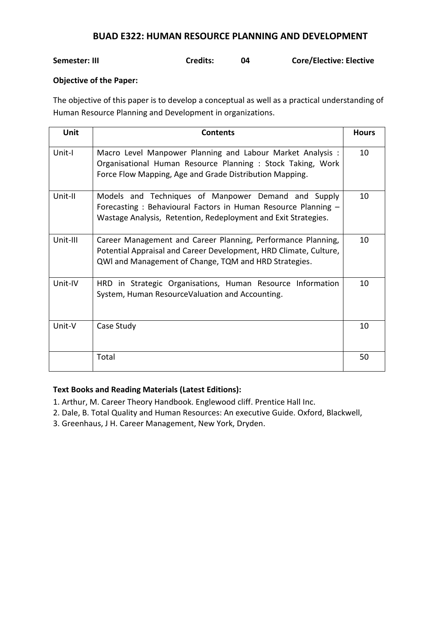# **BUAD E322: HUMAN RESOURCE PLANNING AND DEVELOPMENT**

# **Semester: III Credits: 04 Core/Elective: Elective**

# **Objective of the Paper:**

The objective of this paper is to develop a conceptual as well as a practical understanding of Human Resource Planning and Development in organizations.

| Unit     | <b>Contents</b>                                                                                                                                                                            | <b>Hours</b> |
|----------|--------------------------------------------------------------------------------------------------------------------------------------------------------------------------------------------|--------------|
| Unit-I   | Macro Level Manpower Planning and Labour Market Analysis :<br>Organisational Human Resource Planning : Stock Taking, Work<br>Force Flow Mapping, Age and Grade Distribution Mapping.       | 10           |
| Unit-II  | Models and Techniques of Manpower Demand and Supply<br>Forecasting: Behavioural Factors in Human Resource Planning -<br>Wastage Analysis, Retention, Redeployment and Exit Strategies.     | 10           |
| Unit-III | Career Management and Career Planning, Performance Planning,<br>Potential Appraisal and Career Development, HRD Climate, Culture,<br>QWI and Management of Change, TQM and HRD Strategies. | 10           |
| Unit-IV  | HRD in Strategic Organisations, Human Resource Information<br>System, Human ResourceValuation and Accounting.                                                                              | 10           |
| Unit-V   | Case Study                                                                                                                                                                                 | 10           |
|          | Total                                                                                                                                                                                      | 50           |

- 1. Arthur, M. Career Theory Handbook. Englewood cliff. Prentice Hall Inc.
- 2. Dale, B. Total Quality and Human Resources: An executive Guide. Oxford, Blackwell,
- 3. Greenhaus, J H. Career Management, New York, Dryden.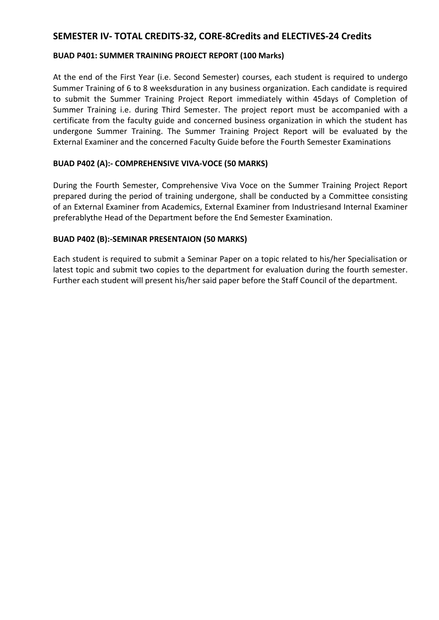# **SEMESTER IV- TOTAL CREDITS-32, CORE-8Credits and ELECTIVES-24 Credits**

# **BUAD P401: SUMMER TRAINING PROJECT REPORT (100 Marks)**

At the end of the First Year (i.e. Second Semester) courses, each student is required to undergo Summer Training of 6 to 8 weeksduration in any business organization. Each candidate is required to submit the Summer Training Project Report immediately within 45days of Completion of Summer Training i.e. during Third Semester. The project report must be accompanied with a certificate from the faculty guide and concerned business organization in which the student has undergone Summer Training. The Summer Training Project Report will be evaluated by the External Examiner and the concerned Faculty Guide before the Fourth Semester Examinations

# **BUAD P402 (A):- COMPREHENSIVE VIVA-VOCE (50 MARKS)**

During the Fourth Semester, Comprehensive Viva Voce on the Summer Training Project Report prepared during the period of training undergone, shall be conducted by a Committee consisting of an External Examiner from Academics, External Examiner from Industriesand Internal Examiner preferablythe Head of the Department before the End Semester Examination.

# **BUAD P402 (B):-SEMINAR PRESENTAION (50 MARKS)**

Each student is required to submit a Seminar Paper on a topic related to his/her Specialisation or latest topic and submit two copies to the department for evaluation during the fourth semester. Further each student will present his/her said paper before the Staff Council of the department.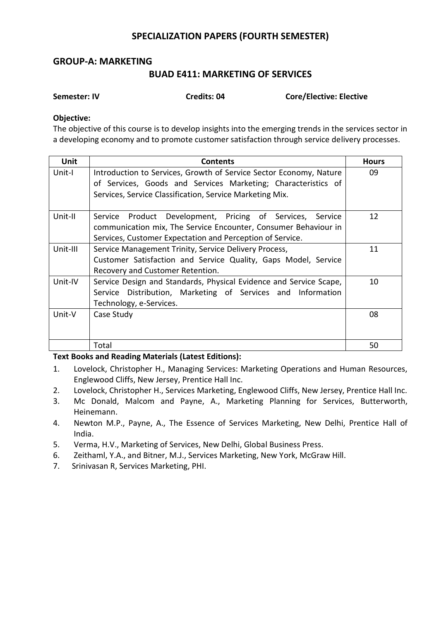# **SPECIALIZATION PAPERS (FOURTH SEMESTER)**

# **GROUP-A: MARKETING**

# **BUAD E411: MARKETING OF SERVICES**

| Semester: IV |  |
|--------------|--|
|              |  |

**Semester: IV Credits: 04 Core/Elective: Elective**

# **Objective:**

The objective of this course is to develop insights into the emerging trends in the services sector in a developing economy and to promote customer satisfaction through service delivery processes.

| <b>Unit</b> | <b>Contents</b>                                                    | <b>Hours</b> |
|-------------|--------------------------------------------------------------------|--------------|
| Unit-I      | Introduction to Services, Growth of Service Sector Economy, Nature | 09           |
|             | of Services, Goods and Services Marketing; Characteristics of      |              |
|             | Services, Service Classification, Service Marketing Mix.           |              |
|             |                                                                    |              |
| Unit-II     | Product Development, Pricing of Services, Service<br>Service       | 12           |
|             | communication mix, The Service Encounter, Consumer Behaviour in    |              |
|             | Services, Customer Expectation and Perception of Service.          |              |
| Unit-III    | Service Management Trinity, Service Delivery Process,              | 11           |
|             | Customer Satisfaction and Service Quality, Gaps Model, Service     |              |
|             | Recovery and Customer Retention.                                   |              |
| Unit-IV     | Service Design and Standards, Physical Evidence and Service Scape, | 10           |
|             | Service Distribution, Marketing of Services and Information        |              |
|             | Technology, e-Services.                                            |              |
| Unit-V      | Case Study                                                         | 08           |
|             |                                                                    |              |
|             |                                                                    |              |
|             | Total                                                              | 50           |

- 1. Lovelock, Christopher H., Managing Services: Marketing Operations and Human Resources, Englewood Cliffs, New Jersey, Prentice Hall Inc.
- 2. Lovelock, Christopher H., Services Marketing, Englewood Cliffs, New Jersey, Prentice Hall Inc.
- 3. Mc Donald, Malcom and Payne, A., Marketing Planning for Services, Butterworth, Heinemann.
- 4. Newton M.P., Payne, A., The Essence of Services Marketing, New Delhi, Prentice Hall of India.
- 5. Verma, H.V., Marketing of Services, New Delhi, Global Business Press.
- 6. Zeithaml, Y.A., and Bitner, M.J., Services Marketing, New York, McGraw Hill.
- 7. Srinivasan R, Services Marketing, PHI.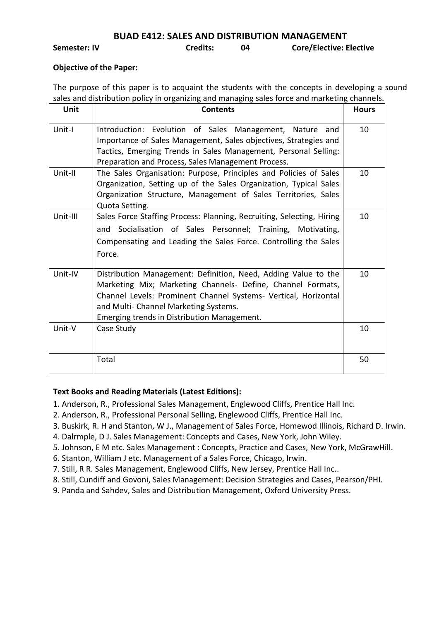**BUAD E412: SALES AND DISTRIBUTION MANAGEMENT**

**Semester: IV Credits: 04 Core/Elective: Elective**

## **Objective of the Paper:**

The purpose of this paper is to acquaint the students with the concepts in developing a sound sales and distribution policy in organizing and managing sales force and marketing channels.

| Unit     | <b>Contents</b>                                                                                                                                                                                                                                                                          | <b>Hours</b> |
|----------|------------------------------------------------------------------------------------------------------------------------------------------------------------------------------------------------------------------------------------------------------------------------------------------|--------------|
| Unit-I   | Introduction: Evolution of Sales Management, Nature<br>and<br>Importance of Sales Management, Sales objectives, Strategies and<br>Tactics, Emerging Trends in Sales Management, Personal Selling:<br>Preparation and Process, Sales Management Process.                                  | 10           |
| Unit-II  | The Sales Organisation: Purpose, Principles and Policies of Sales<br>Organization, Setting up of the Sales Organization, Typical Sales<br>Organization Structure, Management of Sales Territories, Sales<br>Quota Setting.                                                               | 10           |
| Unit-III | Sales Force Staffing Process: Planning, Recruiting, Selecting, Hiring<br>and Socialisation of Sales Personnel; Training, Motivating,<br>Compensating and Leading the Sales Force. Controlling the Sales<br>Force.                                                                        | 10           |
| Unit-IV  | Distribution Management: Definition, Need, Adding Value to the<br>Marketing Mix; Marketing Channels- Define, Channel Formats,<br>Channel Levels: Prominent Channel Systems- Vertical, Horizontal<br>and Multi- Channel Marketing Systems.<br>Emerging trends in Distribution Management. | 10           |
| Unit-V   | Case Study                                                                                                                                                                                                                                                                               | 10           |
|          | Total                                                                                                                                                                                                                                                                                    | 50           |

- 1. Anderson, R., Professional Sales Management, Englewood Cliffs, Prentice Hall Inc.
- 2. Anderson, R., Professional Personal Selling, Englewood Cliffs, Prentice Hall Inc.
- 3. Buskirk, R. H and Stanton, W J., Management of Sales Force, Homewod Illinois, Richard D. Irwin.
- 4. Dalrmple, D J. Sales Management: Concepts and Cases, New York, John Wiley.
- 5. Johnson, E M etc. Sales Management : Concepts, Practice and Cases, New York, McGrawHill.
- 6. Stanton, William J etc. Management of a Sales Force, Chicago, Irwin.
- 7. Still, R R. Sales Management, Englewood Cliffs, New Jersey, Prentice Hall Inc..
- 8. Still, Cundiff and Govoni, Sales Management: Decision Strategies and Cases, Pearson/PHI.
- 9. Panda and Sahdev, Sales and Distribution Management, Oxford University Press.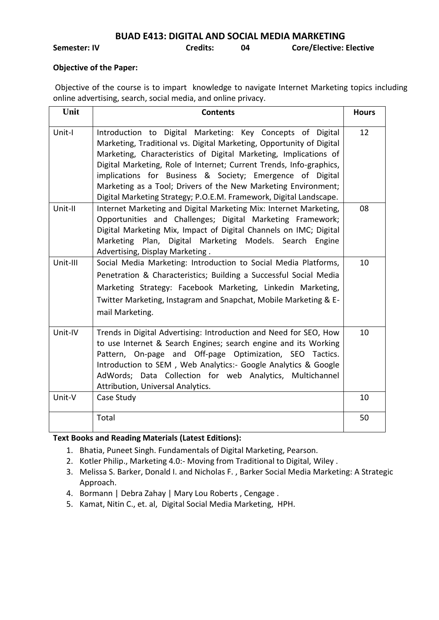**BUAD E413: DIGITAL AND SOCIAL MEDIA MARKETING** 

**Semester: IV Credits: 04 Core/Elective: Elective**

# **Objective of the Paper:**

Objective of the course is to impart knowledge to navigate Internet Marketing topics including online advertising, search, social media, and online privacy.

| Unit     | <b>Contents</b>                                                                                                                                                                                                                                                                                                                                                                                                                                                                    | <b>Hours</b> |
|----------|------------------------------------------------------------------------------------------------------------------------------------------------------------------------------------------------------------------------------------------------------------------------------------------------------------------------------------------------------------------------------------------------------------------------------------------------------------------------------------|--------------|
| Unit-I   | Introduction to Digital Marketing: Key Concepts of Digital<br>Marketing, Traditional vs. Digital Marketing, Opportunity of Digital<br>Marketing, Characteristics of Digital Marketing, Implications of<br>Digital Marketing, Role of Internet; Current Trends, Info-graphics,<br>implications for Business & Society; Emergence of Digital<br>Marketing as a Tool; Drivers of the New Marketing Environment;<br>Digital Marketing Strategy; P.O.E.M. Framework, Digital Landscape. | 12           |
| Unit-II  | Internet Marketing and Digital Marketing Mix: Internet Marketing,<br>Opportunities and Challenges; Digital Marketing Framework;<br>Digital Marketing Mix, Impact of Digital Channels on IMC; Digital<br>Marketing Plan, Digital Marketing Models. Search Engine<br>Advertising, Display Marketing.                                                                                                                                                                                 | 08           |
| Unit-III | Social Media Marketing: Introduction to Social Media Platforms,<br>Penetration & Characteristics; Building a Successful Social Media<br>Marketing Strategy: Facebook Marketing, Linkedin Marketing,<br>Twitter Marketing, Instagram and Snapchat, Mobile Marketing & E-<br>mail Marketing.                                                                                                                                                                                         | 10           |
| Unit-IV  | Trends in Digital Advertising: Introduction and Need for SEO, How<br>to use Internet & Search Engines; search engine and its Working<br>Pattern, On-page and Off-page Optimization, SEO Tactics.<br>Introduction to SEM, Web Analytics:- Google Analytics & Google<br>AdWords; Data Collection for web Analytics, Multichannel<br>Attribution, Universal Analytics.                                                                                                                | 10           |
| Unit-V   | Case Study                                                                                                                                                                                                                                                                                                                                                                                                                                                                         | 10           |
|          | Total                                                                                                                                                                                                                                                                                                                                                                                                                                                                              | 50           |

- 1. Bhatia, Puneet Singh. Fundamentals of Digital Marketing, Pearson.
- 2. Kotler Philip., Marketing 4.0:- Moving from Traditional to Digital, Wiley .
- 3. Melissa S. Barker, Donald I. and Nicholas F. , Barker Social Media Marketing: A Strategic Approach.
- 4. Bormann | Debra Zahay | Mary Lou Roberts, Cengage.
- 5. Kamat, Nitin C., et. al, Digital Social Media Marketing, HPH.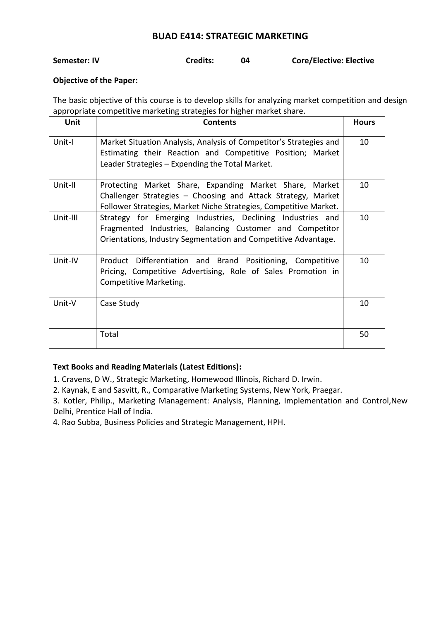# **BUAD E414: STRATEGIC MARKETING**

| Semester: IV | <b>Credits:</b> | <b>Core/Elective: Elective</b> |
|--------------|-----------------|--------------------------------|
|              |                 |                                |

# **Objective of the Paper:**

The basic objective of this course is to develop skills for analyzing market competition and design appropriate competitive marketing strategies for higher market share.

| <b>Unit</b> | <b>Contents</b>                                                                                                                                                                              | <b>Hours</b> |
|-------------|----------------------------------------------------------------------------------------------------------------------------------------------------------------------------------------------|--------------|
| Unit-I      | Market Situation Analysis, Analysis of Competitor's Strategies and<br>Estimating their Reaction and Competitive Position; Market<br>Leader Strategies – Expending the Total Market.          | 10           |
| Unit-II     | Protecting Market Share, Expanding Market Share, Market<br>Challenger Strategies - Choosing and Attack Strategy, Market<br>Follower Strategies, Market Niche Strategies, Competitive Market. | 10           |
| Unit-III    | Strategy for Emerging Industries, Declining Industries and<br>Fragmented Industries, Balancing Customer and Competitor<br>Orientations, Industry Segmentation and Competitive Advantage.     | 10           |
| Unit-IV     | Product Differentiation and Brand Positioning, Competitive<br>Pricing, Competitive Advertising, Role of Sales Promotion in<br>Competitive Marketing.                                         | 10           |
| Unit-V      | Case Study                                                                                                                                                                                   | 10           |
|             | Total                                                                                                                                                                                        | 50           |

# **Text Books and Reading Materials (Latest Editions):**

1. Cravens, D W., Strategic Marketing, Homewood Illinois, Richard D. Irwin.

2. Kaynak, E and Sasvitt, R., Comparative Marketing Systems, New York, Praegar.

3. Kotler, Philip., Marketing Management: Analysis, Planning, Implementation and Control,New Delhi, Prentice Hall of India.

4. Rao Subba, Business Policies and Strategic Management, HPH.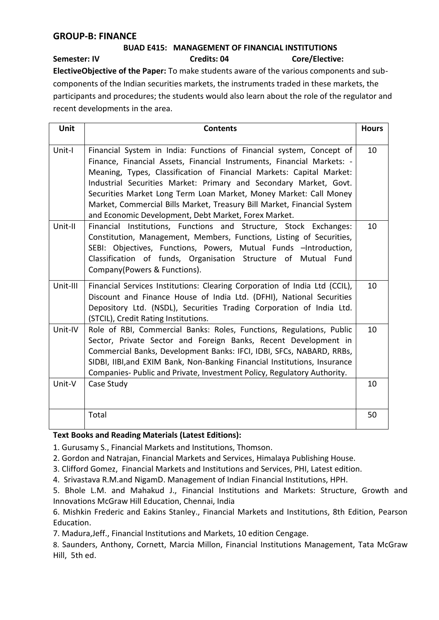# **GROUP-B: FINANCE**

# **BUAD E415: MANAGEMENT OF FINANCIAL INSTITUTIONS Semester: IV Credits: 04 Credits: 04 Core/Elective:**

**ElectiveObjective of the Paper:** To make students aware of the various components and subcomponents of the Indian securities markets, the instruments traded in these markets, the participants and procedures; the students would also learn about the role of the regulator and recent developments in the area.

| Unit     | <b>Contents</b>                                                                                                                                                                                                                                                                                                                                                                                                                                                                                     | <b>Hours</b> |
|----------|-----------------------------------------------------------------------------------------------------------------------------------------------------------------------------------------------------------------------------------------------------------------------------------------------------------------------------------------------------------------------------------------------------------------------------------------------------------------------------------------------------|--------------|
| Unit-I   | Financial System in India: Functions of Financial system, Concept of<br>Finance, Financial Assets, Financial Instruments, Financial Markets: -<br>Meaning, Types, Classification of Financial Markets: Capital Market:<br>Industrial Securities Market: Primary and Secondary Market, Govt.<br>Securities Market Long Term Loan Market, Money Market: Call Money<br>Market, Commercial Bills Market, Treasury Bill Market, Financial System<br>and Economic Development, Debt Market, Forex Market. | 10           |
| Unit-II  | Financial Institutions, Functions and Structure, Stock Exchanges:<br>Constitution, Management, Members, Functions, Listing of Securities,<br>SEBI: Objectives, Functions, Powers, Mutual Funds -Introduction,<br>Classification of funds, Organisation Structure of Mutual Fund<br>Company(Powers & Functions).                                                                                                                                                                                     | 10           |
| Unit-III | Financial Services Institutions: Clearing Corporation of India Ltd (CCIL),<br>Discount and Finance House of India Ltd. (DFHI), National Securities<br>Depository Ltd. (NSDL), Securities Trading Corporation of India Ltd.<br>(STCIL), Credit Rating Institutions.                                                                                                                                                                                                                                  | 10           |
| Unit-IV  | Role of RBI, Commercial Banks: Roles, Functions, Regulations, Public<br>Sector, Private Sector and Foreign Banks, Recent Development in<br>Commercial Banks, Development Banks: IFCI, IDBI, SFCs, NABARD, RRBs,<br>SIDBI, IIBI, and EXIM Bank, Non-Banking Financial Institutions, Insurance<br>Companies- Public and Private, Investment Policy, Regulatory Authority.                                                                                                                             | 10           |
| Unit-V   | Case Study                                                                                                                                                                                                                                                                                                                                                                                                                                                                                          | 10           |
|          | Total                                                                                                                                                                                                                                                                                                                                                                                                                                                                                               | 50           |

# **Text Books and Reading Materials (Latest Editions):**

1. Gurusamy S., Financial Markets and Institutions, Thomson.

- 2. Gordon and Natrajan, Financial Markets and Services, Himalaya Publishing House.
- 3. Clifford Gomez, Financial Markets and Institutions and Services, PHI, Latest edition.
- 4. Srivastava R.M.and NigamD. Management of Indian Financial Institutions, HPH.

5. Bhole L.M. and Mahakud J., Financial Institutions and Markets: Structure, Growth and Innovations McGraw Hill Education, Chennai, India

6. Mishkin Frederic and Eakins Stanley., Financial Markets and Institutions, 8th Edition, Pearson Education.

7. Madura,Jeff., Financial Institutions and Markets, 10 edition Cengage.

8. Saunders, Anthony, Cornett, Marcia Millon, Financial Institutions Management, Tata McGraw Hill, 5th ed.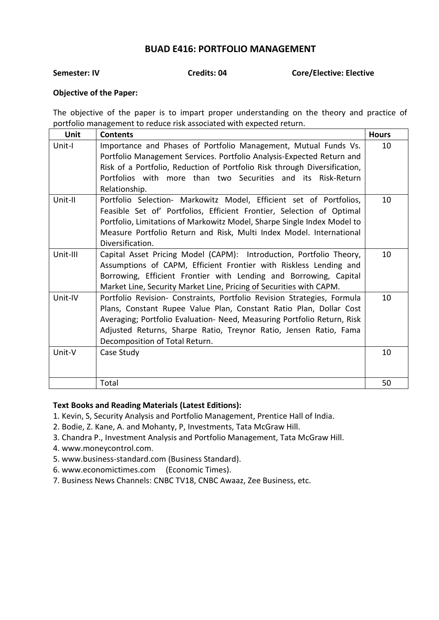# **BUAD E416: PORTFOLIO MANAGEMENT**

**Semester: IV Credits: 04 Core/Elective: Elective** 

# **Objective of the Paper:**

The objective of the paper is to impart proper understanding on the theory and practice of portfolio management to reduce risk associated with expected return.

| <b>Unit</b> | <b>Contents</b>                                                                                                                                                                                                                                                                                                                 | <b>Hours</b> |
|-------------|---------------------------------------------------------------------------------------------------------------------------------------------------------------------------------------------------------------------------------------------------------------------------------------------------------------------------------|--------------|
| Unit-I      | Importance and Phases of Portfolio Management, Mutual Funds Vs.<br>Portfolio Management Services. Portfolio Analysis-Expected Return and<br>Risk of a Portfolio, Reduction of Portfolio Risk through Diversification,<br>Portfolios with more than two Securities and its Risk-Return<br>Relationship.                          | 10           |
| Unit-II     | Portfolio Selection- Markowitz Model, Efficient set of Portfolios,<br>Feasible Set of' Portfolios, Efficient Frontier, Selection of Optimal<br>Portfolio, Limitations of Markowitz Model, Sharpe Single Index Model to<br>Measure Portfolio Return and Risk, Multi Index Model. International<br>Diversification.               | 10           |
| Unit-III    | Capital Asset Pricing Model (CAPM): Introduction, Portfolio Theory,<br>Assumptions of CAPM, Efficient Frontier with Riskless Lending and<br>Borrowing, Efficient Frontier with Lending and Borrowing, Capital<br>Market Line, Security Market Line, Pricing of Securities with CAPM.                                            | 10           |
| Unit-IV     | Portfolio Revision- Constraints, Portfolio Revision Strategies, Formula<br>Plans, Constant Rupee Value Plan, Constant Ratio Plan, Dollar Cost<br>Averaging; Portfolio Evaluation- Need, Measuring Portfolio Return, Risk<br>Adjusted Returns, Sharpe Ratio, Treynor Ratio, Jensen Ratio, Fama<br>Decomposition of Total Return. | 10           |
| Unit-V      | Case Study                                                                                                                                                                                                                                                                                                                      | 10           |
|             | Total                                                                                                                                                                                                                                                                                                                           | 50           |

- 1. Kevin, S, Security Analysis and Portfolio Management, Prentice Hall of India.
- 2. Bodie, Z. Kane, A. and Mohanty, P, Investments, Tata McGraw Hill.
- 3. Chandra P., Investment Analysis and Portfolio Management, Tata McGraw Hill.
- 4. [www.moneycontrol.com](http://www.moneycontrol.com/).
- 5. [www.business-standard.com](http://www.business-standard.com/) (Business Standard).
- 6. [www.economictimes.com](http://www.economictimes.com/) (Economic Times).
- 7. Business News Channels: CNBC TV18, CNBC Awaaz, Zee Business, etc.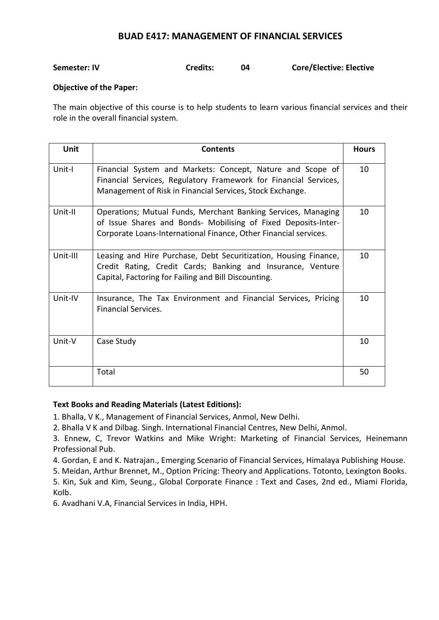# **BUAD E417: MANAGEMENT OF FINANCIAL SERVICES**

| <b>Credits:</b><br>Semester: IV | <b>Core/Elective: Elective</b> |
|---------------------------------|--------------------------------|
|---------------------------------|--------------------------------|

# **Objective of the Paper:**

The main objective of this course is to help students to learn various financial services and their role in the overall financial system.

| Unit     | <b>Contents</b>                                                                                                                                                                                     | <b>Hours</b> |
|----------|-----------------------------------------------------------------------------------------------------------------------------------------------------------------------------------------------------|--------------|
| Unit-I   | Financial System and Markets: Concept, Nature and Scope of<br>Financial Services, Regulatory Framework for Financial Services,<br>Management of Risk in Financial Services, Stock Exchange.         | 10           |
| Unit-II  | Operations; Mutual Funds, Merchant Banking Services, Managing<br>of Issue Shares and Bonds- Mobilising of Fixed Deposits-Inter-<br>Corporate Loans-International Finance, Other Financial services. | 10           |
| Unit-III | Leasing and Hire Purchase, Debt Securitization, Housing Finance,<br>Credit Rating, Credit Cards; Banking and Insurance, Venture<br>Capital, Factoring for Failing and Bill Discounting.             | 10           |
| Unit-IV  | Insurance, The Tax Environment and Financial Services, Pricing<br><b>Financial Services.</b>                                                                                                        | 10           |
| Unit-V   | Case Study                                                                                                                                                                                          | 10           |
|          | Total                                                                                                                                                                                               | 50           |

# **Text Books and Reading Materials (Latest Editions):**

1. Bhalla, V K., Management of Financial Services, Anmol, New Delhi.

2. Bhalla V K and Dilbag. Singh. International Financial Centres, New Delhi, Anmol.

3. Ennew, C, Trevor Watkins and Mike Wright: Marketing of Financial Services, Heinemann Professional Pub.

4. Gordan, E and K. Natrajan., Emerging Scenario of Financial Services, Himalaya Publishing House.

5. Meidan, Arthur Brennet, M., Option Pricing: Theory and Applications. Totonto, Lexington Books.

5. Kin, Suk and Kim, Seung., Global Corporate Finance : Text and Cases, 2nd ed., Miami Florida, Kolb.

6. Avadhani V.A, Financial Services in India, HPH.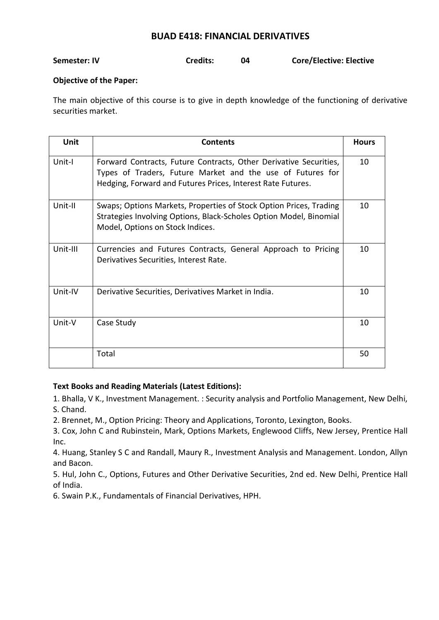# **BUAD E418: FINANCIAL DERIVATIVES**

| <b>Core/Elective: Elective</b><br><b>Credits:</b><br>Semester: IV |  |
|-------------------------------------------------------------------|--|
|-------------------------------------------------------------------|--|

# **Objective of the Paper:**

The main objective of this course is to give in depth knowledge of the functioning of derivative securities market.

| Unit     | <b>Contents</b>                                                                                                                                                                                | <b>Hours</b> |
|----------|------------------------------------------------------------------------------------------------------------------------------------------------------------------------------------------------|--------------|
| Unit-I   | Forward Contracts, Future Contracts, Other Derivative Securities,<br>Types of Traders, Future Market and the use of Futures for<br>Hedging, Forward and Futures Prices, Interest Rate Futures. | 10           |
| Unit-II  | Swaps; Options Markets, Properties of Stock Option Prices, Trading<br>Strategies Involving Options, Black-Scholes Option Model, Binomial<br>Model, Options on Stock Indices.                   | 10           |
| Unit-III | Currencies and Futures Contracts, General Approach to Pricing<br>Derivatives Securities, Interest Rate.                                                                                        | 10           |
| Unit-IV  | Derivative Securities, Derivatives Market in India.                                                                                                                                            | 10           |
| Unit-V   | Case Study                                                                                                                                                                                     | 10           |
|          | Total                                                                                                                                                                                          | 50           |

# **Text Books and Reading Materials (Latest Editions):**

1. Bhalla, V K., Investment Management. : Security analysis and Portfolio Management, New Delhi, S. Chand.

2. Brennet, M., Option Pricing: Theory and Applications, Toronto, Lexington, Books.

3. Cox, John C and Rubinstein, Mark, Options Markets, Englewood Cliffs, New Jersey, Prentice Hall Inc.

4. Huang, Stanley S C and Randall, Maury R., Investment Analysis and Management. London, Allyn and Bacon.

5. Hul, John C., Options, Futures and Other Derivative Securities, 2nd ed. New Delhi, Prentice Hall of India.

6. Swain P.K., Fundamentals of Financial Derivatives, HPH.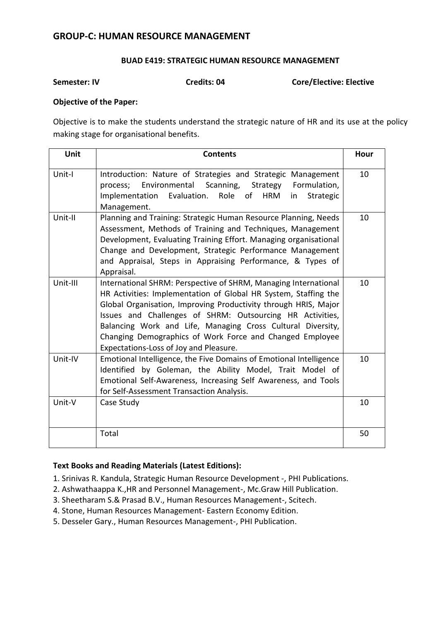# **GROUP-C: HUMAN RESOURCE MANAGEMENT**

# **BUAD E419: STRATEGIC HUMAN RESOURCE MANAGEMENT**

**Semester: IV Credits: 04 Core/Elective: Elective** 

# **Objective of the Paper:**

Objective is to make the students understand the strategic nature of HR and its use at the policy making stage for organisational benefits.

| Unit     | <b>Contents</b>                                                                                                                                                                                                                                                                                                                                                                                                                         | Hour |
|----------|-----------------------------------------------------------------------------------------------------------------------------------------------------------------------------------------------------------------------------------------------------------------------------------------------------------------------------------------------------------------------------------------------------------------------------------------|------|
| Unit-I   | Introduction: Nature of Strategies and Strategic Management<br>Environmental Scanning, Strategy Formulation,<br>process;<br>Implementation Evaluation.<br>Role<br>Strategic<br>of<br>HRM<br>in<br>Management.                                                                                                                                                                                                                           | 10   |
| Unit-II  | Planning and Training: Strategic Human Resource Planning, Needs<br>Assessment, Methods of Training and Techniques, Management<br>Development, Evaluating Training Effort. Managing organisational<br>Change and Development, Strategic Performance Management<br>and Appraisal, Steps in Appraising Performance, & Types of<br>Appraisal.                                                                                               | 10   |
| Unit-III | International SHRM: Perspective of SHRM, Managing International<br>HR Activities: Implementation of Global HR System, Staffing the<br>Global Organisation, Improving Productivity through HRIS, Major<br>Issues and Challenges of SHRM: Outsourcing HR Activities,<br>Balancing Work and Life, Managing Cross Cultural Diversity,<br>Changing Demographics of Work Force and Changed Employee<br>Expectations-Loss of Joy and Pleasure. | 10   |
| Unit-IV  | Emotional Intelligence, the Five Domains of Emotional Intelligence<br>Identified by Goleman, the Ability Model, Trait Model of<br>Emotional Self-Awareness, Increasing Self Awareness, and Tools<br>for Self-Assessment Transaction Analysis.                                                                                                                                                                                           | 10   |
| Unit-V   | Case Study                                                                                                                                                                                                                                                                                                                                                                                                                              | 10   |
|          | Total                                                                                                                                                                                                                                                                                                                                                                                                                                   | 50   |

- 1. Srinivas R. Kandula, Strategic Human Resource Development -, PHI Publications.
- 2. Ashwathaappa K.,HR and Personnel Management-, Mc.Graw Hill Publication.
- 3. Sheetharam S.& Prasad B.V., Human Resources Management-, Scitech.
- 4. Stone, Human Resources Management- Eastern Economy Edition.
- 5. Desseler Gary., Human Resources Management-, PHI Publication.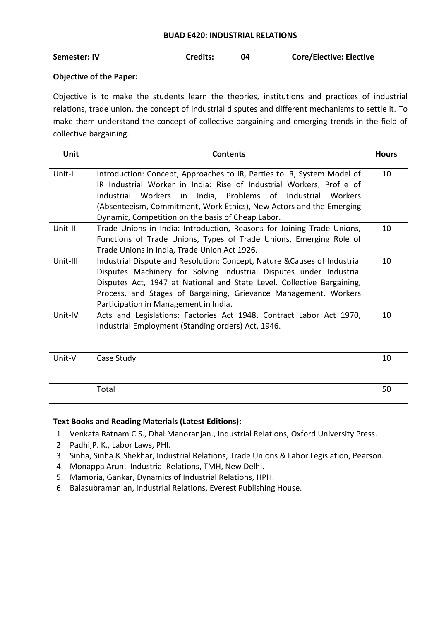#### **BUAD E420: INDUSTRIAL RELATIONS**

**Semester: IV Credits: 04 Core/Elective: Elective**

# **Objective of the Paper:**

Objective is to make the students learn the theories, institutions and practices of industrial relations, trade union, the concept of industrial disputes and different mechanisms to settle it. To make them understand the concept of collective bargaining and emerging trends in the field of collective bargaining.

| <b>Unit</b> | <b>Contents</b>                                                                                                                                                                                                                                                                                                                         | <b>Hours</b> |
|-------------|-----------------------------------------------------------------------------------------------------------------------------------------------------------------------------------------------------------------------------------------------------------------------------------------------------------------------------------------|--------------|
| Unit-I      | Introduction: Concept, Approaches to IR, Parties to IR, System Model of<br>IR Industrial Worker in India: Rise of Industrial Workers, Profile of<br>Industrial Workers in India, Problems of Industrial<br>Workers<br>(Absenteeism, Commitment, Work Ethics), New Actors and the Emerging                                               | 10           |
| Unit-II     | Dynamic, Competition on the basis of Cheap Labor.<br>Trade Unions in India: Introduction, Reasons for Joining Trade Unions,<br>Functions of Trade Unions, Types of Trade Unions, Emerging Role of<br>Trade Unions in India, Trade Union Act 1926.                                                                                       | 10           |
| Unit-III    | Industrial Dispute and Resolution: Concept, Nature & Causes of Industrial<br>Disputes Machinery for Solving Industrial Disputes under Industrial<br>Disputes Act, 1947 at National and State Level. Collective Bargaining,<br>Process, and Stages of Bargaining, Grievance Management. Workers<br>Participation in Management in India. | 10           |
| Unit-IV     | Acts and Legislations: Factories Act 1948, Contract Labor Act 1970,<br>Industrial Employment (Standing orders) Act, 1946.                                                                                                                                                                                                               | 10           |
| Unit-V      | Case Study                                                                                                                                                                                                                                                                                                                              | 10           |
|             | Total                                                                                                                                                                                                                                                                                                                                   | 50           |

- 1. Venkata Ratnam C.S., Dhal Manoranjan., Industrial Relations, Oxford University Press.
- 2. Padhi,P. K., Labor Laws, PHI.
- 3. Sinha, Sinha & Shekhar, Industrial Relations, Trade Unions & Labor Legislation, Pearson.
- 4. Monappa Arun, Industrial Relations, TMH, New Delhi.
- 5. Mamoria, Gankar, Dynamics of Industrial Relations, HPH.
- 6. Balasubramanian, Industrial Relations, Everest Publishing House.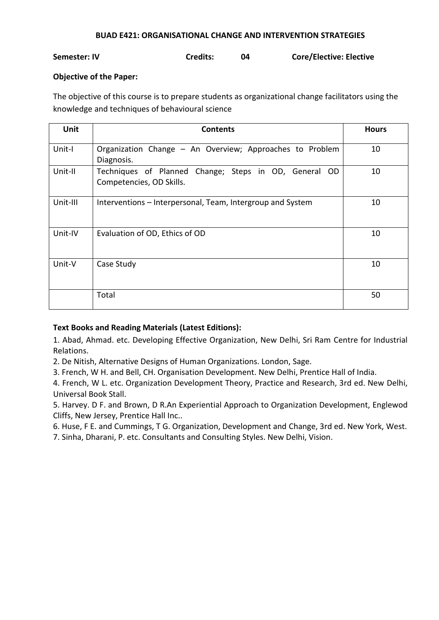## **BUAD E421: ORGANISATIONAL CHANGE AND INTERVENTION STRATEGIES**

# **Semester: IV Credits: 04 Core/Elective: Elective**

## **Objective of the Paper:**

The objective of this course is to prepare students as organizational change facilitators using the knowledge and techniques of behavioural science

| <b>Unit</b> | <b>Contents</b>                                                                   | <b>Hours</b> |
|-------------|-----------------------------------------------------------------------------------|--------------|
| Unit-I      | Organization Change - An Overview; Approaches to Problem<br>Diagnosis.            | 10           |
| Unit-II     | Techniques of Planned Change; Steps in OD, General OD<br>Competencies, OD Skills. | 10           |
| Unit-III    | Interventions – Interpersonal, Team, Intergroup and System                        | 10           |
| Unit-IV     | Evaluation of OD, Ethics of OD                                                    | 10           |
| Unit-V      | Case Study                                                                        | 10           |
|             | Total                                                                             | 50           |

# **Text Books and Reading Materials (Latest Editions):**

1. Abad, Ahmad. etc. Developing Effective Organization, New Delhi, Sri Ram Centre for Industrial Relations.

2. De Nitish, Alternative Designs of Human Organizations. London, Sage.

3. French, W H. and Bell, CH. Organisation Development. New Delhi, Prentice Hall of India.

4. French, W L. etc. Organization Development Theory, Practice and Research, 3rd ed. New Delhi, Universal Book Stall.

5. Harvey. D F. and Brown, D R.An Experiential Approach to Organization Development, Englewod Cliffs, New Jersey, Prentice Hall Inc..

6. Huse, F E. and Cummings, T G. Organization, Development and Change, 3rd ed. New York, West.

7. Sinha, Dharani, P. etc. Consultants and Consulting Styles. New Delhi, Vision.